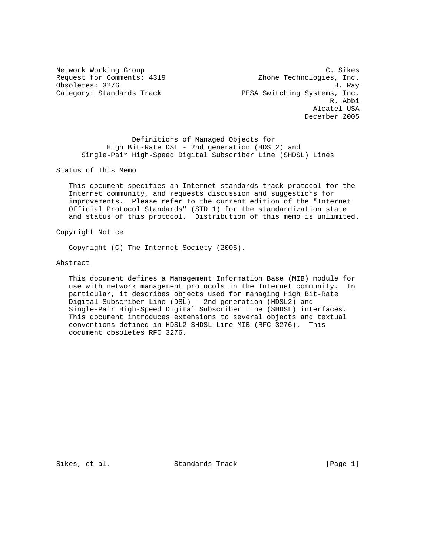Network Working Group C. Sikes Request for Comments: 4319 Zhone Technologies, Inc. Obsoletes: 3276 B. Ray<br>Category: Standards Track B. PESA Switching Systems, Inc. PESA Switching Systems, Inc.<br>R. Abbi R. Abbi Alcatel USA December 2005

 Definitions of Managed Objects for High Bit-Rate DSL - 2nd generation (HDSL2) and Single-Pair High-Speed Digital Subscriber Line (SHDSL) Lines

Status of This Memo

 This document specifies an Internet standards track protocol for the Internet community, and requests discussion and suggestions for improvements. Please refer to the current edition of the "Internet Official Protocol Standards" (STD 1) for the standardization state and status of this protocol. Distribution of this memo is unlimited.

Copyright Notice

Copyright (C) The Internet Society (2005).

Abstract

 This document defines a Management Information Base (MIB) module for use with network management protocols in the Internet community. In particular, it describes objects used for managing High Bit-Rate Digital Subscriber Line (DSL) - 2nd generation (HDSL2) and Single-Pair High-Speed Digital Subscriber Line (SHDSL) interfaces. This document introduces extensions to several objects and textual conventions defined in HDSL2-SHDSL-Line MIB (RFC 3276). This document obsoletes RFC 3276.

Sikes, et al. Standards Track [Page 1]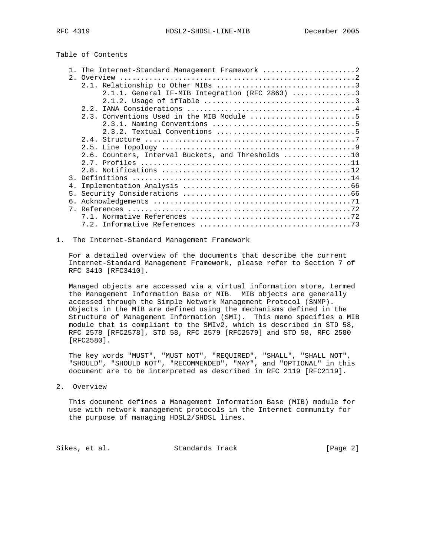# Table of Contents

|                | 1. The Internet-Standard Management Framework 2    |
|----------------|----------------------------------------------------|
|                |                                                    |
|                |                                                    |
|                | $2.1.1.$ General IF-MIB Integration (RFC 2863) 3   |
|                |                                                    |
|                |                                                    |
|                | 2.3. Conventions Used in the MIB Module 5          |
|                |                                                    |
|                |                                                    |
|                |                                                    |
|                |                                                    |
|                | 2.6. Counters, Interval Buckets, and Thresholds 10 |
|                |                                                    |
|                |                                                    |
|                |                                                    |
| 4.             |                                                    |
| 5 <sub>1</sub> |                                                    |
| б.             |                                                    |
|                |                                                    |
|                |                                                    |
|                |                                                    |
|                |                                                    |

1. The Internet-Standard Management Framework

 For a detailed overview of the documents that describe the current Internet-Standard Management Framework, please refer to Section 7 of RFC 3410 [RFC3410].

 Managed objects are accessed via a virtual information store, termed the Management Information Base or MIB. MIB objects are generally accessed through the Simple Network Management Protocol (SNMP). Objects in the MIB are defined using the mechanisms defined in the Structure of Management Information (SMI). This memo specifies a MIB module that is compliant to the SMIv2, which is described in STD 58, RFC 2578 [RFC2578], STD 58, RFC 2579 [RFC2579] and STD 58, RFC 2580 [RFC2580].

 The key words "MUST", "MUST NOT", "REQUIRED", "SHALL", "SHALL NOT", "SHOULD", "SHOULD NOT", "RECOMMENDED", "MAY", and "OPTIONAL" in this document are to be interpreted as described in RFC 2119 [RFC2119].

2. Overview

 This document defines a Management Information Base (MIB) module for use with network management protocols in the Internet community for the purpose of managing HDSL2/SHDSL lines.

Sikes, et al. Standards Track [Page 2]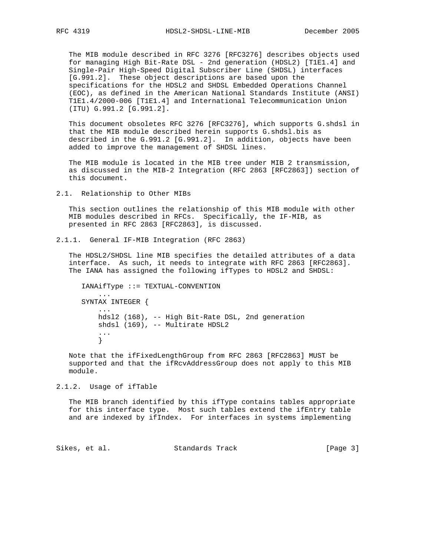The MIB module described in RFC 3276 [RFC3276] describes objects used for managing High Bit-Rate DSL - 2nd generation (HDSL2) [T1E1.4] and Single-Pair High-Speed Digital Subscriber Line (SHDSL) interfaces [G.991.2]. These object descriptions are based upon the specifications for the HDSL2 and SHDSL Embedded Operations Channel (EOC), as defined in the American National Standards Institute (ANSI) T1E1.4/2000-006 [T1E1.4] and International Telecommunication Union (ITU) G.991.2 [G.991.2].

 This document obsoletes RFC 3276 [RFC3276], which supports G.shdsl in that the MIB module described herein supports G.shdsl.bis as described in the G.991.2 [G.991.2]. In addition, objects have been added to improve the management of SHDSL lines.

 The MIB module is located in the MIB tree under MIB 2 transmission, as discussed in the MIB-2 Integration (RFC 2863 [RFC2863]) section of this document.

2.1. Relationship to Other MIBs

 This section outlines the relationship of this MIB module with other MIB modules described in RFCs. Specifically, the IF-MIB, as presented in RFC 2863 [RFC2863], is discussed.

2.1.1. General IF-MIB Integration (RFC 2863)

 The HDSL2/SHDSL line MIB specifies the detailed attributes of a data interface. As such, it needs to integrate with RFC 2863 [RFC2863]. The IANA has assigned the following ifTypes to HDSL2 and SHDSL:

```
 IANAifType ::= TEXTUAL-CONVENTION
 ...
      SYNTAX INTEGER {
 ...
          hdsl2 (168), -- High Bit-Rate DSL, 2nd generation
          shdsl (169), -- Multirate HDSL2
          ...
          }
```
 Note that the ifFixedLengthGroup from RFC 2863 [RFC2863] MUST be supported and that the ifRcvAddressGroup does not apply to this MIB module.

2.1.2. Usage of ifTable

 The MIB branch identified by this ifType contains tables appropriate for this interface type. Most such tables extend the ifEntry table and are indexed by ifIndex. For interfaces in systems implementing

Sikes, et al. Standards Track [Page 3]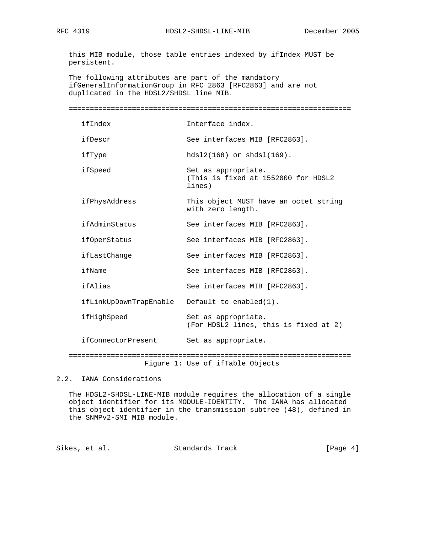this MIB module, those table entries indexed by ifIndex MUST be persistent.

 The following attributes are part of the mandatory ifGeneralInformationGroup in RFC 2863 [RFC2863] and are not duplicated in the HDSL2/SHDSL line MIB.

| ============================                  |                                                                      |
|-----------------------------------------------|----------------------------------------------------------------------|
| ifIndex                                       | Interface index.                                                     |
| ifDescr                                       | See interfaces MIB [RFC2863].                                        |
| ifType                                        | $hds12(168)$ or $shds1(169)$ .                                       |
| ifSpeed                                       | Set as appropriate.<br>(This is fixed at 1552000 for HDSL2<br>lines) |
| ifPhysAddress                                 | This object MUST have an octet string<br>with zero length.           |
| ifAdminStatus                                 | See interfaces MIB [RFC2863].                                        |
| <i>ifOperStatus</i>                           | See interfaces MIB [RFC2863].                                        |
| ifLastChange                                  | See interfaces MIB [RFC2863].                                        |
| ifName                                        | See interfaces MIB [RFC2863].                                        |
| ifAlias                                       | See interfaces MIB [RFC2863].                                        |
| ifLinkUpDownTrapEnable Default to enabled(1). |                                                                      |
| ifHighSpeed                                   | Set as appropriate.<br>(For HDSL2 lines, this is fixed at 2)         |
| ifConnectorPresent                            | Set as appropriate.                                                  |
|                                               | Figure 1: Use of ifTable Objects                                     |

2.2. IANA Considerations

 The HDSL2-SHDSL-LINE-MIB module requires the allocation of a single object identifier for its MODULE-IDENTITY. The IANA has allocated this object identifier in the transmission subtree (48), defined in the SNMPv2-SMI MIB module.

Sikes, et al. Standards Track [Page 4]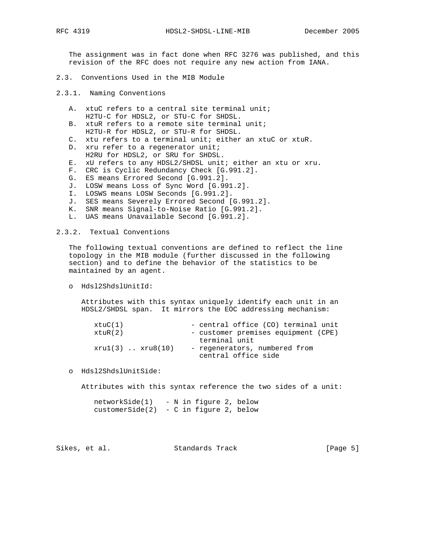The assignment was in fact done when RFC 3276 was published, and this revision of the RFC does not require any new action from IANA.

- 2.3. Conventions Used in the MIB Module
- 2.3.1. Naming Conventions
	- A. xtuC refers to a central site terminal unit; H2TU-C for HDSL2, or STU-C for SHDSL.
	- B. xtuR refers to a remote site terminal unit; H2TU-R for HDSL2, or STU-R for SHDSL.
	- C. xtu refers to a terminal unit; either an xtuC or xtuR.
	- D. xru refer to a regenerator unit; H2RU for HDSL2, or SRU for SHDSL.
	- E. xU refers to any HDSL2/SHDSL unit; either an xtu or xru.
	- F. CRC is Cyclic Redundancy Check [G.991.2].
	- G. ES means Errored Second [G.991.2].
	- J. LOSW means Loss of Sync Word [G.991.2].
	- I. LOSWS means LOSW Seconds [G.991.2].
	- J. SES means Severely Errored Second [G.991.2].
	- K. SNR means Signal-to-Noise Ratio [G.991.2].
	- L. UAS means Unavailable Second [G.991.2].

2.3.2. Textual Conventions

 The following textual conventions are defined to reflect the line topology in the MIB module (further discussed in the following section) and to define the behavior of the statistics to be maintained by an agent.

o Hdsl2ShdslUnitId:

 Attributes with this syntax uniquely identify each unit in an HDSL2/SHDSL span. It mirrors the EOC addressing mechanism:

| xtuC(1)              | - central office (CO) terminal unit |
|----------------------|-------------------------------------|
| xtuR(2)              | - customer premises equipment (CPE) |
|                      | terminal unit                       |
| $xru1(3)$ $xru8(10)$ | - regenerators, numbered from       |
|                      | central office side                 |

o Hdsl2ShdslUnitSide:

Attributes with this syntax reference the two sides of a unit:

 networkSide(1) - N in figure 2, below customerSide(2) - C in figure 2, below

Sikes, et al. Standards Track [Page 5]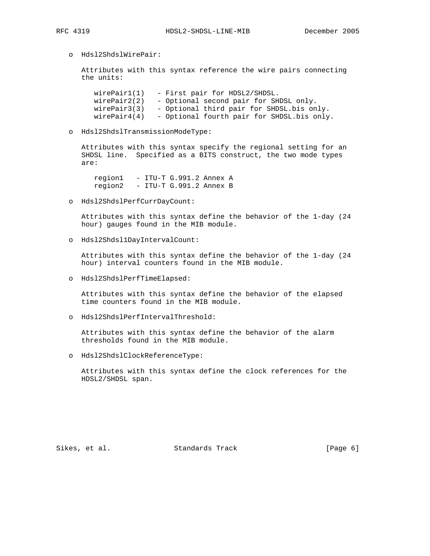o Hdsl2ShdslWirePair:

 Attributes with this syntax reference the wire pairs connecting the units:

 wirePair1(1) - First pair for HDSL2/SHDSL. wirePair2(2) - Optional second pair for SHDSL only. wirePair3(3) - Optional third pair for SHDSL.bis only.  $wirePair4(4)$  - Optional fourth pair for SHDSL.bis only.

o Hdsl2ShdslTransmissionModeType:

 Attributes with this syntax specify the regional setting for an SHDSL line. Specified as a BITS construct, the two mode types are:

 region1 - ITU-T G.991.2 Annex A region2 - ITU-T G.991.2 Annex B

o Hdsl2ShdslPerfCurrDayCount:

 Attributes with this syntax define the behavior of the 1-day (24 hour) gauges found in the MIB module.

o Hdsl2Shdsl1DayIntervalCount:

 Attributes with this syntax define the behavior of the 1-day (24 hour) interval counters found in the MIB module.

o Hdsl2ShdslPerfTimeElapsed:

 Attributes with this syntax define the behavior of the elapsed time counters found in the MIB module.

o Hdsl2ShdslPerfIntervalThreshold:

 Attributes with this syntax define the behavior of the alarm thresholds found in the MIB module.

o Hdsl2ShdslClockReferenceType:

 Attributes with this syntax define the clock references for the HDSL2/SHDSL span.

Sikes, et al. Standards Track [Page 6]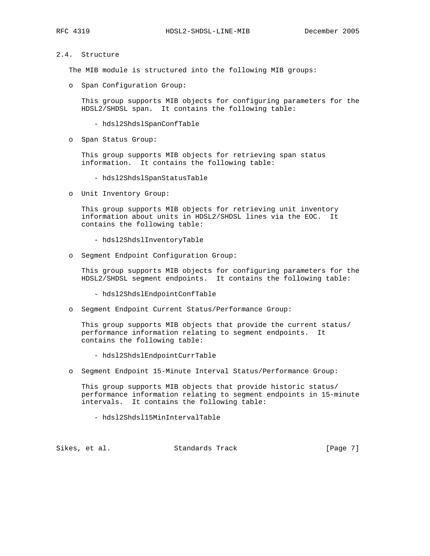## 2.4. Structure

The MIB module is structured into the following MIB groups:

o Span Configuration Group:

 This group supports MIB objects for configuring parameters for the HDSL2/SHDSL span. It contains the following table:

- hdsl2ShdslSpanConfTable
- o Span Status Group:

 This group supports MIB objects for retrieving span status information. It contains the following table:

- hdsl2ShdslSpanStatusTable
- o Unit Inventory Group:

 This group supports MIB objects for retrieving unit inventory information about units in HDSL2/SHDSL lines via the EOC. It contains the following table:

- hdsl2ShdslInventoryTable
- o Segment Endpoint Configuration Group:

 This group supports MIB objects for configuring parameters for the HDSL2/SHDSL segment endpoints. It contains the following table:

- hdsl2ShdslEndpointConfTable
- o Segment Endpoint Current Status/Performance Group:

 This group supports MIB objects that provide the current status/ performance information relating to segment endpoints. It contains the following table:

- hdsl2ShdslEndpointCurrTable
- o Segment Endpoint 15-Minute Interval Status/Performance Group:

 This group supports MIB objects that provide historic status/ performance information relating to segment endpoints in 15-minute intervals. It contains the following table:

- hdsl2Shdsl15MinIntervalTable

Sikes, et al. Standards Track [Page 7]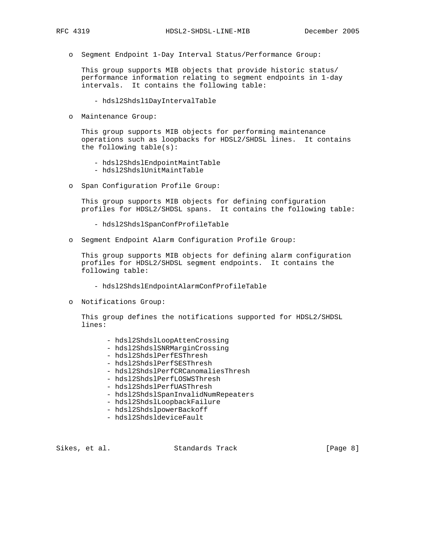o Segment Endpoint 1-Day Interval Status/Performance Group:

 This group supports MIB objects that provide historic status/ performance information relating to segment endpoints in 1-day intervals. It contains the following table:

- hdsl2Shdsl1DayIntervalTable
- o Maintenance Group:

 This group supports MIB objects for performing maintenance operations such as loopbacks for HDSL2/SHDSL lines. It contains the following table(s):

- hdsl2ShdslEndpointMaintTable
- hdsl2ShdslUnitMaintTable
- o Span Configuration Profile Group:

 This group supports MIB objects for defining configuration profiles for HDSL2/SHDSL spans. It contains the following table:

- hdsl2ShdslSpanConfProfileTable
- o Segment Endpoint Alarm Configuration Profile Group:

 This group supports MIB objects for defining alarm configuration profiles for HDSL2/SHDSL segment endpoints. It contains the following table:

- hdsl2ShdslEndpointAlarmConfProfileTable
- o Notifications Group:

 This group defines the notifications supported for HDSL2/SHDSL lines:

- hdsl2ShdslLoopAttenCrossing
- hdsl2ShdslSNRMarginCrossing
- hdsl2ShdslPerfESThresh
- hdsl2ShdslPerfSESThresh
- hdsl2ShdslPerfCRCanomaliesThresh
- hdsl2ShdslPerfLOSWSThresh
- hdsl2ShdslPerfUASThresh
- hdsl2ShdslSpanInvalidNumRepeaters
- hdsl2ShdslLoopbackFailure
- hdsl2ShdslpowerBackoff
- hdsl2ShdsldeviceFault

Sikes, et al. Standards Track [Page 8]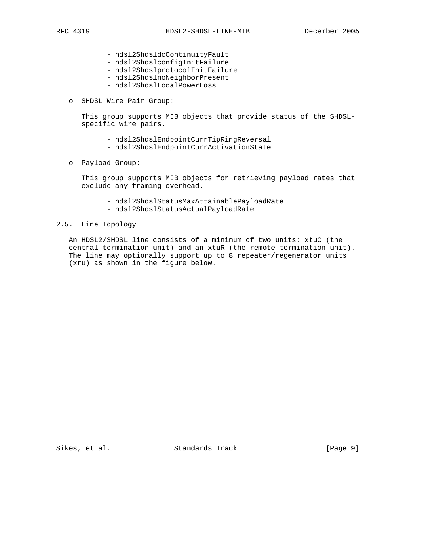- hdsl2ShdsldcContinuityFault
- hdsl2ShdslconfigInitFailure
- hdsl2ShdslprotocolInitFailure
- hdsl2ShdslnoNeighborPresent
- hdsl2ShdslLocalPowerLoss
- o SHDSL Wire Pair Group:

 This group supports MIB objects that provide status of the SHDSL specific wire pairs.

- hdsl2ShdslEndpointCurrTipRingReversal
- hdsl2ShdslEndpointCurrActivationState
- o Payload Group:

 This group supports MIB objects for retrieving payload rates that exclude any framing overhead.

- hdsl2ShdslStatusMaxAttainablePayloadRate
- hdsl2ShdslStatusActualPayloadRate

## 2.5. Line Topology

 An HDSL2/SHDSL line consists of a minimum of two units: xtuC (the central termination unit) and an xtuR (the remote termination unit). The line may optionally support up to 8 repeater/regenerator units (xru) as shown in the figure below.

Sikes, et al. Standards Track [Page 9]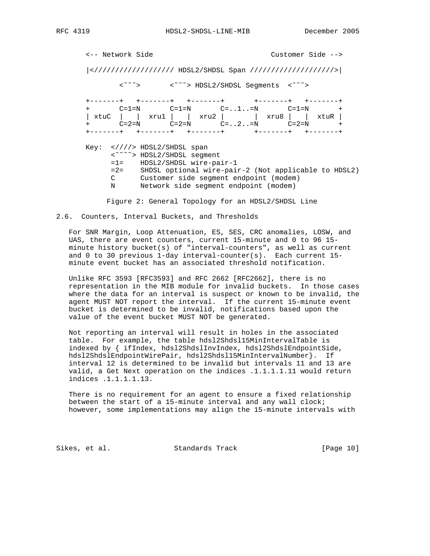<-- Network Side Customer Side --> |</////////////////// HDSL2/SHDSL Span ////////////////////>| <˜˜˜> <˜˜˜> HDSL2/SHDSL Segments <˜˜˜> +-------+ +-------+ +-------+ +-------+ +-------+ + C=1=N C=1=N C=..1..=N C=1=N + | xtuC | | xru1 | | xru2 | | xru8 | | xtuR | + C=2=N C=2=N C=..2..=N C=2=N + +-------+ +-------+ +-------+ +-------+ +-------+ Key: <////> HDSL2/SHDSL span <˜˜˜˜> HDSL2/SHDSL segment =1= HDSL2/SHDSL wire-pair-1 =2= SHDSL optional wire-pair-2 (Not applicable to HDSL2) C Customer side segment endpoint (modem) N Network side segment endpoint (modem)

Figure 2: General Topology for an HDSL2/SHDSL Line

2.6. Counters, Interval Buckets, and Thresholds

 For SNR Margin, Loop Attenuation, ES, SES, CRC anomalies, LOSW, and UAS, there are event counters, current 15-minute and 0 to 96 15 minute history bucket(s) of "interval-counters", as well as current and 0 to 30 previous 1-day interval-counter(s). Each current 15 minute event bucket has an associated threshold notification.

 Unlike RFC 3593 [RFC3593] and RFC 2662 [RFC2662], there is no representation in the MIB module for invalid buckets. In those cases where the data for an interval is suspect or known to be invalid, the agent MUST NOT report the interval. If the current 15-minute event bucket is determined to be invalid, notifications based upon the value of the event bucket MUST NOT be generated.

 Not reporting an interval will result in holes in the associated table. For example, the table hdsl2Shdsl15MinIntervalTable is indexed by { ifIndex, hdsl2ShdslInvIndex, hdsl2ShdslEndpointSide, hdsl2ShdslEndpointWirePair, hdsl2Shdsl15MinIntervalNumber}. If interval 12 is determined to be invalid but intervals 11 and 13 are valid, a Get Next operation on the indices .1.1.1.1.11 would return indices .1.1.1.1.13.

 There is no requirement for an agent to ensure a fixed relationship between the start of a 15-minute interval and any wall clock; however, some implementations may align the 15-minute intervals with

Sikes, et al. Standards Track [Page 10]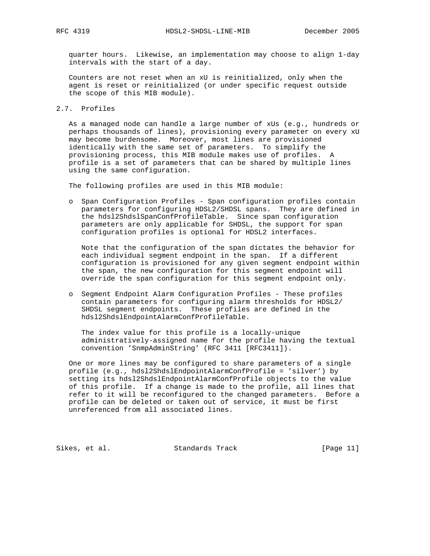quarter hours. Likewise, an implementation may choose to align 1-day intervals with the start of a day.

 Counters are not reset when an xU is reinitialized, only when the agent is reset or reinitialized (or under specific request outside the scope of this MIB module).

2.7. Profiles

 As a managed node can handle a large number of xUs (e.g., hundreds or perhaps thousands of lines), provisioning every parameter on every xU may become burdensome. Moreover, most lines are provisioned identically with the same set of parameters. To simplify the provisioning process, this MIB module makes use of profiles. A profile is a set of parameters that can be shared by multiple lines using the same configuration.

The following profiles are used in this MIB module:

 o Span Configuration Profiles - Span configuration profiles contain parameters for configuring HDSL2/SHDSL spans. They are defined in the hdsl2ShdslSpanConfProfileTable. Since span configuration parameters are only applicable for SHDSL, the support for span configuration profiles is optional for HDSL2 interfaces.

 Note that the configuration of the span dictates the behavior for each individual segment endpoint in the span. If a different configuration is provisioned for any given segment endpoint within the span, the new configuration for this segment endpoint will override the span configuration for this segment endpoint only.

 o Segment Endpoint Alarm Configuration Profiles - These profiles contain parameters for configuring alarm thresholds for HDSL2/ SHDSL segment endpoints. These profiles are defined in the hdsl2ShdslEndpointAlarmConfProfileTable.

 The index value for this profile is a locally-unique administratively-assigned name for the profile having the textual convention 'SnmpAdminString' (RFC 3411 [RFC3411]).

 One or more lines may be configured to share parameters of a single profile (e.g., hdsl2ShdslEndpointAlarmConfProfile = 'silver') by setting its hdsl2ShdslEndpointAlarmConfProfile objects to the value of this profile. If a change is made to the profile, all lines that refer to it will be reconfigured to the changed parameters. Before a profile can be deleted or taken out of service, it must be first unreferenced from all associated lines.

Sikes, et al. Standards Track [Page 11]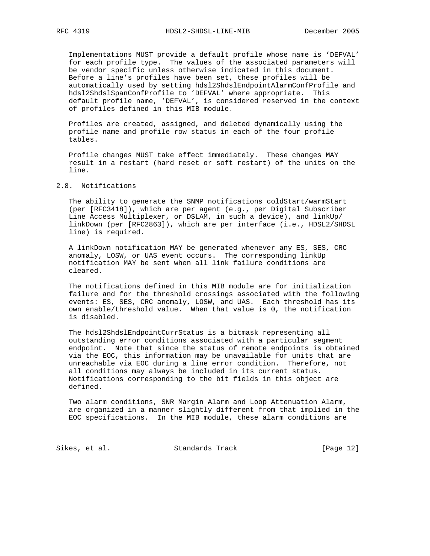Implementations MUST provide a default profile whose name is 'DEFVAL' for each profile type. The values of the associated parameters will be vendor specific unless otherwise indicated in this document. Before a line's profiles have been set, these profiles will be automatically used by setting hdsl2ShdslEndpointAlarmConfProfile and hdsl2ShdslSpanConfProfile to 'DEFVAL' where appropriate. This default profile name, 'DEFVAL', is considered reserved in the context of profiles defined in this MIB module.

 Profiles are created, assigned, and deleted dynamically using the profile name and profile row status in each of the four profile tables.

 Profile changes MUST take effect immediately. These changes MAY result in a restart (hard reset or soft restart) of the units on the line.

## 2.8. Notifications

The ability to generate the SNMP notifications coldStart/warmStart (per [RFC3418]), which are per agent (e.g., per Digital Subscriber Line Access Multiplexer, or DSLAM, in such a device), and linkUp/ linkDown (per [RFC2863]), which are per interface (i.e., HDSL2/SHDSL line) is required.

 A linkDown notification MAY be generated whenever any ES, SES, CRC anomaly, LOSW, or UAS event occurs. The corresponding linkUp notification MAY be sent when all link failure conditions are cleared.

 The notifications defined in this MIB module are for initialization failure and for the threshold crossings associated with the following events: ES, SES, CRC anomaly, LOSW, and UAS. Each threshold has its own enable/threshold value. When that value is 0, the notification is disabled.

 The hdsl2ShdslEndpointCurrStatus is a bitmask representing all outstanding error conditions associated with a particular segment endpoint. Note that since the status of remote endpoints is obtained via the EOC, this information may be unavailable for units that are unreachable via EOC during a line error condition. Therefore, not all conditions may always be included in its current status. Notifications corresponding to the bit fields in this object are defined.

 Two alarm conditions, SNR Margin Alarm and Loop Attenuation Alarm, are organized in a manner slightly different from that implied in the EOC specifications. In the MIB module, these alarm conditions are

Sikes, et al. Standards Track [Page 12]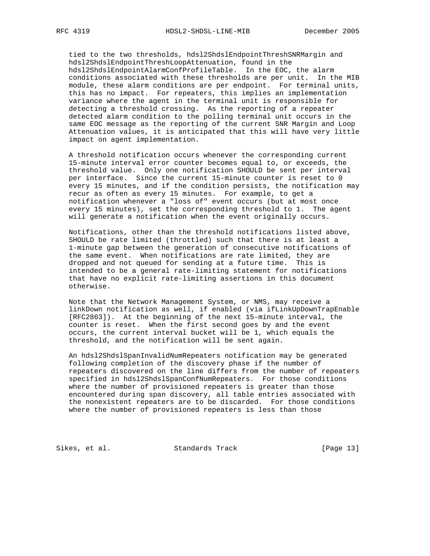tied to the two thresholds, hdsl2ShdslEndpointThreshSNRMargin and hdsl2ShdslEndpointThreshLoopAttenuation, found in the hdsl2ShdslEndpointAlarmConfProfileTable. In the EOC, the alarm conditions associated with these thresholds are per unit. In the MIB module, these alarm conditions are per endpoint. For terminal units, this has no impact. For repeaters, this implies an implementation variance where the agent in the terminal unit is responsible for detecting a threshold crossing. As the reporting of a repeater detected alarm condition to the polling terminal unit occurs in the same EOC message as the reporting of the current SNR Margin and Loop Attenuation values, it is anticipated that this will have very little impact on agent implementation.

 A threshold notification occurs whenever the corresponding current 15-minute interval error counter becomes equal to, or exceeds, the threshold value. Only one notification SHOULD be sent per interval per interface. Since the current 15-minute counter is reset to 0 every 15 minutes, and if the condition persists, the notification may recur as often as every 15 minutes. For example, to get a notification whenever a "loss of" event occurs (but at most once every 15 minutes), set the corresponding threshold to 1. The agent will generate a notification when the event originally occurs.

 Notifications, other than the threshold notifications listed above, SHOULD be rate limited (throttled) such that there is at least a 1-minute gap between the generation of consecutive notifications of the same event. When notifications are rate limited, they are dropped and not queued for sending at a future time. This is intended to be a general rate-limiting statement for notifications that have no explicit rate-limiting assertions in this document otherwise.

 Note that the Network Management System, or NMS, may receive a linkDown notification as well, if enabled (via ifLinkUpDownTrapEnable [RFC2863]). At the beginning of the next 15-minute interval, the counter is reset. When the first second goes by and the event occurs, the current interval bucket will be 1, which equals the threshold, and the notification will be sent again.

 An hdsl2ShdslSpanInvalidNumRepeaters notification may be generated following completion of the discovery phase if the number of repeaters discovered on the line differs from the number of repeaters specified in hdsl2ShdslSpanConfNumRepeaters. For those conditions where the number of provisioned repeaters is greater than those encountered during span discovery, all table entries associated with the nonexistent repeaters are to be discarded. For those conditions where the number of provisioned repeaters is less than those

Sikes, et al. Standards Track [Page 13]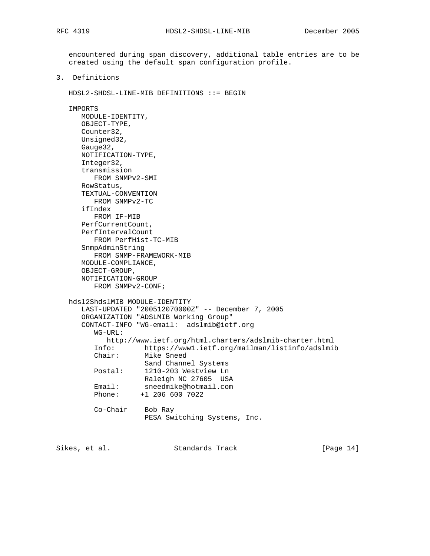encountered during span discovery, additional table entries are to be created using the default span configuration profile.

3. Definitions

HDSL2-SHDSL-LINE-MIB DEFINITIONS ::= BEGIN

```
 IMPORTS
```

```
 MODULE-IDENTITY,
      OBJECT-TYPE,
      Counter32,
      Unsigned32,
      Gauge32,
      NOTIFICATION-TYPE,
      Integer32,
      transmission
         FROM SNMPv2-SMI
      RowStatus,
      TEXTUAL-CONVENTION
         FROM SNMPv2-TC
      ifIndex
         FROM IF-MIB
      PerfCurrentCount,
      PerfIntervalCount
         FROM PerfHist-TC-MIB
      SnmpAdminString
         FROM SNMP-FRAMEWORK-MIB
      MODULE-COMPLIANCE,
      OBJECT-GROUP,
      NOTIFICATION-GROUP
         FROM SNMPv2-CONF;
   hdsl2ShdslMIB MODULE-IDENTITY
      LAST-UPDATED "200512070000Z" -- December 7, 2005
      ORGANIZATION "ADSLMIB Working Group"
      CONTACT-INFO "WG-email: adslmib@ietf.org
         WG-URL:
            http://www.ietf.org/html.charters/adslmib-charter.html
         Info: https://www1.ietf.org/mailman/listinfo/adslmib
         Chair: Mike Sneed
        Sand Channel Systems<br>Postal: 1210-203 Westview Ln
                    1210-203 Westview Ln
                    Raleigh NC 27605 USA
 Email: sneedmike@hotmail.com
 Phone: +1 206 600 7022
         Co-Chair Bob Ray
                     PESA Switching Systems, Inc.
```
Sikes, et al. Standards Track [Page 14]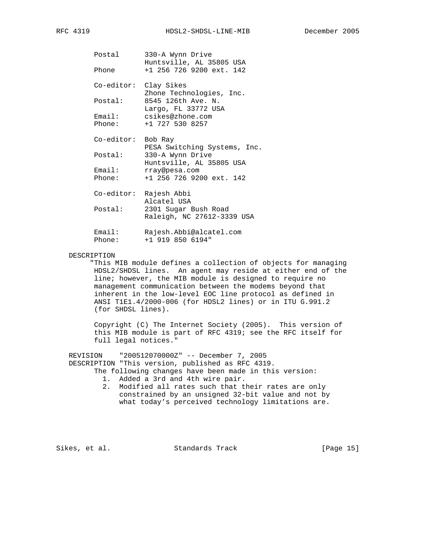|  | RFM | . . |
|--|-----|-----|
|--|-----|-----|

| Postal<br>Phone  | 330-A Wynn Drive<br>Huntsville, AL 35805 USA<br>$+1$ 256 726 9200 ext. 142 |
|------------------|----------------------------------------------------------------------------|
|                  | Co-editor: Clay Sikes<br>Zhone Technologies, Inc.                          |
| Postal:          | 8545 126th Ave. N.<br>Largo, FL 33772 USA                                  |
| Phone:           | Email: csikes@zhone.com<br>+1 727 530 8257                                 |
|                  | Co-editor: Bob Ray                                                         |
| Postal:          | PESA Switching Systems, Inc.<br>330-A Wynn Drive                           |
| Email:<br>Phone: | Huntsville, AL 35805 USA<br>rray@pesa.com<br>$+1$ 256 726 9200 ext. 142    |
|                  | Co-editor: Rajesh Abbi<br>Alcatel USA                                      |
| Postal:          | 2301 Sugar Bush Road<br>Raleigh, NC 27612-3339 USA                         |
| Email:<br>Phone: | Rajesh.Abbi@alcatel.com<br>$+1$ 919 850 6194"                              |

#### DESCRIPTION

 "This MIB module defines a collection of objects for managing HDSL2/SHDSL lines. An agent may reside at either end of the line; however, the MIB module is designed to require no management communication between the modems beyond that inherent in the low-level EOC line protocol as defined in ANSI T1E1.4/2000-006 (for HDSL2 lines) or in ITU G.991.2 (for SHDSL lines).

 Copyright (C) The Internet Society (2005). This version of this MIB module is part of RFC 4319; see the RFC itself for full legal notices."

 REVISION "200512070000Z" -- December 7, 2005 DESCRIPTION "This version, published as RFC 4319. The following changes have been made in this version:

- 1. Added a 3rd and 4th wire pair.
- 2. Modified all rates such that their rates are only constrained by an unsigned 32-bit value and not by what today's perceived technology limitations are.

Sikes, et al. Standards Track [Page 15]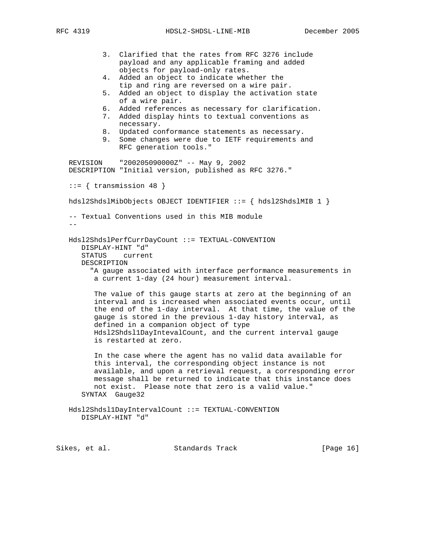RFC 4319 HDSL2-SHDSL-LINE-MIB December 2005

 3. Clarified that the rates from RFC 3276 include payload and any applicable framing and added objects for payload-only rates. 4. Added an object to indicate whether the tip and ring are reversed on a wire pair. 5. Added an object to display the activation state of a wire pair. 6. Added references as necessary for clarification. 7. Added display hints to textual conventions as necessary. 8. Updated conformance statements as necessary. 9. Some changes were due to IETF requirements and RFC generation tools." REVISION "200205090000Z" -- May 9, 2002 DESCRIPTION "Initial version, published as RFC 3276."  $::=$  { transmission 48 } hdsl2ShdslMibObjects OBJECT IDENTIFIER ::= { hdsl2ShdslMIB 1 } -- Textual Conventions used in this MIB module  $- -$  Hdsl2ShdslPerfCurrDayCount ::= TEXTUAL-CONVENTION DISPLAY-HINT "d" STATUS current DESCRIPTION "A gauge associated with interface performance measurements in a current 1-day (24 hour) measurement interval. The value of this gauge starts at zero at the beginning of an interval and is increased when associated events occur, until the end of the 1-day interval. At that time, the value of the gauge is stored in the previous 1-day history interval, as defined in a companion object of type Hdsl2Shdsl1DayIntevalCount, and the current interval gauge is restarted at zero. In the case where the agent has no valid data available for this interval, the corresponding object instance is not available, and upon a retrieval request, a corresponding error message shall be returned to indicate that this instance does not exist. Please note that zero is a valid value." SYNTAX Gauge32 Hdsl2Shdsl1DayIntervalCount ::= TEXTUAL-CONVENTION DISPLAY-HINT "d"

Sikes, et al. Standards Track [Page 16]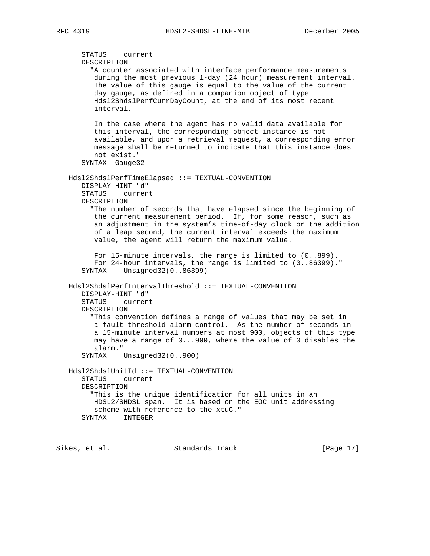STATUS current DESCRIPTION "A counter associated with interface performance measurements during the most previous 1-day (24 hour) measurement interval. The value of this gauge is equal to the value of the current day gauge, as defined in a companion object of type Hdsl2ShdslPerfCurrDayCount, at the end of its most recent interval. In the case where the agent has no valid data available for this interval, the corresponding object instance is not available, and upon a retrieval request, a corresponding error message shall be returned to indicate that this instance does not exist." SYNTAX Gauge32 Hdsl2ShdslPerfTimeElapsed ::= TEXTUAL-CONVENTION DISPLAY-HINT "d" STATUS current DESCRIPTION "The number of seconds that have elapsed since the beginning of the current measurement period. If, for some reason, such as an adjustment in the system's time-of-day clock or the addition of a leap second, the current interval exceeds the maximum value, the agent will return the maximum value. For 15-minute intervals, the range is limited to (0..899). For 24-hour intervals, the range is limited to (0..86399)." SYNTAX Unsigned32(0..86399) Hdsl2ShdslPerfIntervalThreshold ::= TEXTUAL-CONVENTION DISPLAY-HINT "d" STATUS current DESCRIPTION "This convention defines a range of values that may be set in a fault threshold alarm control. As the number of seconds in a 15-minute interval numbers at most 900, objects of this type may have a range of 0...900, where the value of 0 disables the alarm." SYNTAX Unsigned32(0..900) Hdsl2ShdslUnitId ::= TEXTUAL-CONVENTION STATUS current DESCRIPTION "This is the unique identification for all units in an HDSL2/SHDSL span. It is based on the EOC unit addressing scheme with reference to the xtuC." SYNTAX INTEGER

Sikes, et al. Standards Track [Page 17]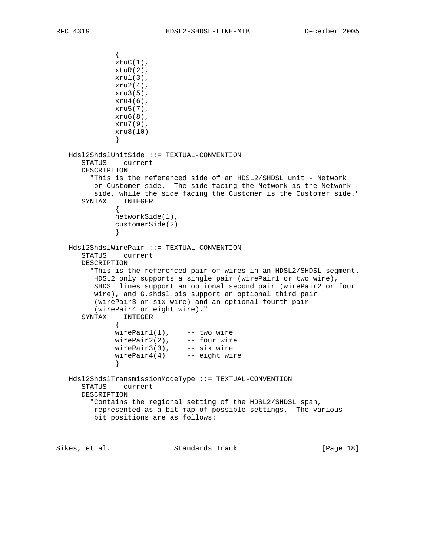```
\{xtuC(1),
            xtuR(2),
            xru1(3),
             xru2(4),
             xru3(5),
             xru4(6),
             xru5(7),
             xru6(8),
             xru7(9),
             xru8(10)
 }
   Hdsl2ShdslUnitSide ::= TEXTUAL-CONVENTION
      STATUS current
      DESCRIPTION
        "This is the referenced side of an HDSL2/SHDSL unit - Network
        or Customer side. The side facing the Network is the Network
        side, while the side facing the Customer is the Customer side."
      SYNTAX INTEGER
 {
             networkSide(1),
             customerSide(2)
 }
   Hdsl2ShdslWirePair ::= TEXTUAL-CONVENTION
      STATUS current
      DESCRIPTION
        "This is the referenced pair of wires in an HDSL2/SHDSL segment.
        HDSL2 only supports a single pair (wirePair1 or two wire),
       SHDSL lines support an optional second pair (wirePair2 or four
        wire), and G.shdsl.bis support an optional third pair
        (wirePair3 or six wire) and an optional fourth pair
        (wirePair4 or eight wire)."
      SYNTAX INTEGER
 {
wirePair1(1), -- two wire
 wirePair2(2), -- four wire
wirePair3(3), -- six wire
 wirePair4(4) -- eight wire
 }
   Hdsl2ShdslTransmissionModeType ::= TEXTUAL-CONVENTION
      STATUS current
      DESCRIPTION
        "Contains the regional setting of the HDSL2/SHDSL span,
        represented as a bit-map of possible settings. The various
        bit positions are as follows:
Sikes, et al. Standards Track [Page 18]
```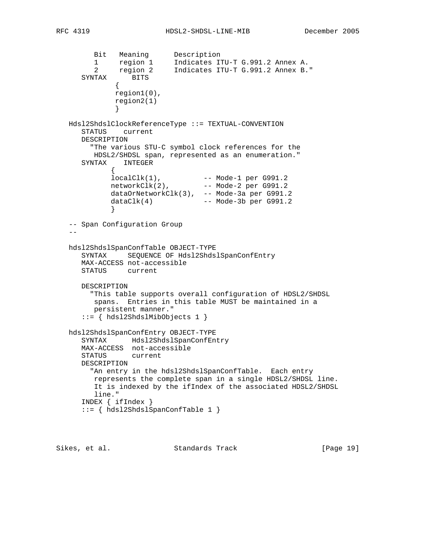```
 Bit Meaning Description
 1 region 1 Indicates ITU-T G.991.2 Annex A.
 2 region 2 Indicates ITU-T G.991.2 Annex B."
 SYNTAX BITS
\{ region1(0),
             region2(1)
 }
   Hdsl2ShdslClockReferenceType ::= TEXTUAL-CONVENTION
      STATUS current
     DESCRIPTION
        "The various STU-C symbol clock references for the
        HDSL2/SHDSL span, represented as an enumeration."
      SYNTAX INTEGER
\{ localClk(1), -- Mode-1 per G991.2
 networkClk(2), -- Mode-2 per G991.2
            dataOrNetworkClk(3), -- Mode-3a per G991.2
           dataClk(4) -- Mode-3b per G991.2
 }
   -- Span Configuration Group
- hdsl2ShdslSpanConfTable OBJECT-TYPE
      SYNTAX SEQUENCE OF Hdsl2ShdslSpanConfEntry
      MAX-ACCESS not-accessible
     STATUS current
     DESCRIPTION
       "This table supports overall configuration of HDSL2/SHDSL
       spans. Entries in this table MUST be maintained in a
        persistent manner."
      ::= { hdsl2ShdslMibObjects 1 }
   hdsl2ShdslSpanConfEntry OBJECT-TYPE
      SYNTAX Hdsl2ShdslSpanConfEntry
      MAX-ACCESS not-accessible
      STATUS current
     DESCRIPTION
       "An entry in the hdsl2ShdslSpanConfTable. Each entry
        represents the complete span in a single HDSL2/SHDSL line.
        It is indexed by the ifIndex of the associated HDSL2/SHDSL
        line."
      INDEX { ifIndex }
      ::= { hdsl2ShdslSpanConfTable 1 }
```
Sikes, et al. Standards Track [Page 19]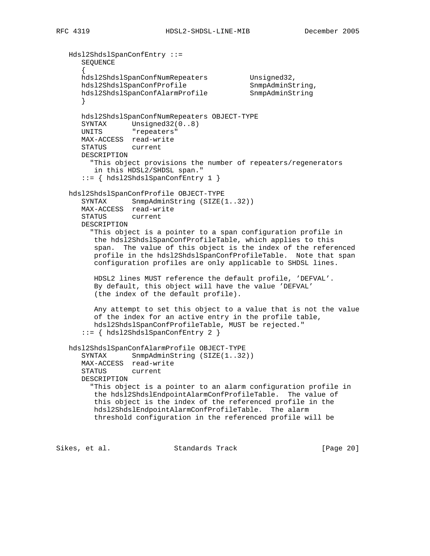```
 Hdsl2ShdslSpanConfEntry ::=
      SEQUENCE
      {
     hdsl2ShdslSpanConfNumRepeaters Unsigned32,<br>hdsl2ShdslSpanConfProfile SnmpAdminString,
 hdsl2ShdslSpanConfProfile SnmpAdminString,
 hdsl2ShdslSpanConfAlarmProfile SnmpAdminString
      }
      hdsl2ShdslSpanConfNumRepeaters OBJECT-TYPE
     SYNTAX Unsigned32(0..8)
      UNITS "repeaters"
      MAX-ACCESS read-write
      STATUS current
      DESCRIPTION
        "This object provisions the number of repeaters/regenerators
         in this HDSL2/SHDSL span."
      ::= { hdsl2ShdslSpanConfEntry 1 }
   hdsl2ShdslSpanConfProfile OBJECT-TYPE
     SYNTAX SnmpAdminString (SIZE(1..32))
      MAX-ACCESS read-write
      STATUS current
      DESCRIPTION
        "This object is a pointer to a span configuration profile in
         the hdsl2ShdslSpanConfProfileTable, which applies to this
         span. The value of this object is the index of the referenced
         profile in the hdsl2ShdslSpanConfProfileTable. Note that span
         configuration profiles are only applicable to SHDSL lines.
         HDSL2 lines MUST reference the default profile, 'DEFVAL'.
         By default, this object will have the value 'DEFVAL'
         (the index of the default profile).
         Any attempt to set this object to a value that is not the value
         of the index for an active entry in the profile table,
         hdsl2ShdslSpanConfProfileTable, MUST be rejected."
       ::= { hdsl2ShdslSpanConfEntry 2 }
   hdsl2ShdslSpanConfAlarmProfile OBJECT-TYPE
     SYNTAX SnmpAdminString (SIZE(1..32))
      MAX-ACCESS read-write
     STATUS
      DESCRIPTION
        "This object is a pointer to an alarm configuration profile in
         the hdsl2ShdslEndpointAlarmConfProfileTable. The value of
         this object is the index of the referenced profile in the
         hdsl2ShdslEndpointAlarmConfProfileTable. The alarm
         threshold configuration in the referenced profile will be
```
Sikes, et al. Standards Track [Page 20]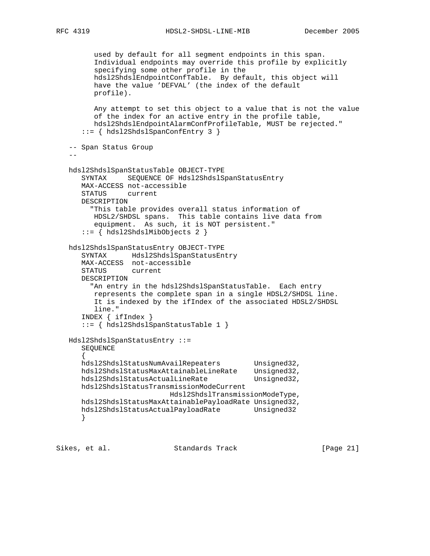```
 used by default for all segment endpoints in this span.
         Individual endpoints may override this profile by explicitly
         specifying some other profile in the
         hdsl2ShdslEndpointConfTable. By default, this object will
         have the value 'DEFVAL' (the index of the default
         profile).
         Any attempt to set this object to a value that is not the value
         of the index for an active entry in the profile table,
         hdsl2ShdslEndpointAlarmConfProfileTable, MUST be rejected."
      ::= { hdsl2ShdslSpanConfEntry 3 }
   -- Span Status Group
 --
   hdsl2ShdslSpanStatusTable OBJECT-TYPE
      SYNTAX SEQUENCE OF Hdsl2ShdslSpanStatusEntry
      MAX-ACCESS not-accessible
      STATUS current
      DESCRIPTION
        "This table provides overall status information of
        HDSL2/SHDSL spans. This table contains live data from
         equipment. As such, it is NOT persistent."
      ::= { hdsl2ShdslMibObjects 2 }
   hdsl2ShdslSpanStatusEntry OBJECT-TYPE
 SYNTAX Hdsl2ShdslSpanStatusEntry
 MAX-ACCESS not-accessible
      STATUS current
      DESCRIPTION
       "An entry in the hdsl2ShdslSpanStatusTable. Each entry
         represents the complete span in a single HDSL2/SHDSL line.
         It is indexed by the ifIndex of the associated HDSL2/SHDSL
         line."
      INDEX { ifIndex }
      ::= { hdsl2ShdslSpanStatusTable 1 }
   Hdsl2ShdslSpanStatusEntry ::=
      SEQUENCE
\{hdsl2ShdslStatusNumAvailRepeaters Unsigned32,
      hdsl2ShdslStatusMaxAttainableLineRate Unsigned32,
     hdsl2ShdslStatusActualLineRate Unsigned32,
      hdsl2ShdslStatusTransmissionModeCurrent
                          Hdsl2ShdslTransmissionModeType,
      hdsl2ShdslStatusMaxAttainablePayloadRate Unsigned32,
     hdsl2ShdslStatusActualPayloadRate Unsigned32
      }
```
Sikes, et al. Standards Track [Page 21]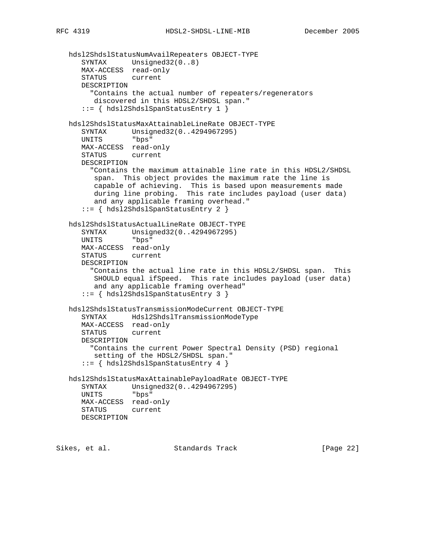```
 hdsl2ShdslStatusNumAvailRepeaters OBJECT-TYPE
 SYNTAX Unsigned32(0..8)
 MAX-ACCESS read-only
      STATUS current
      DESCRIPTION
        "Contains the actual number of repeaters/regenerators
         discovered in this HDSL2/SHDSL span."
      ::= { hdsl2ShdslSpanStatusEntry 1 }
   hdsl2ShdslStatusMaxAttainableLineRate OBJECT-TYPE
 SYNTAX Unsigned32(0..4294967295)
 UNITS "bps"
      MAX-ACCESS read-only
      STATUS current
      DESCRIPTION
        "Contains the maximum attainable line rate in this HDSL2/SHDSL
         span. This object provides the maximum rate the line is
         capable of achieving. This is based upon measurements made
         during line probing. This rate includes payload (user data)
         and any applicable framing overhead."
      ::= { hdsl2ShdslSpanStatusEntry 2 }
   hdsl2ShdslStatusActualLineRate OBJECT-TYPE
 SYNTAX Unsigned32(0..4294967295)
 UNITS "bps"
      MAX-ACCESS read-only
      STATUS current
      DESCRIPTION
        "Contains the actual line rate in this HDSL2/SHDSL span. This
         SHOULD equal ifSpeed. This rate includes payload (user data)
         and any applicable framing overhead"
      ::= { hdsl2ShdslSpanStatusEntry 3 }
   hdsl2ShdslStatusTransmissionModeCurrent OBJECT-TYPE
      SYNTAX Hdsl2ShdslTransmissionModeType
      MAX-ACCESS read-only
      STATUS current
      DESCRIPTION
        "Contains the current Power Spectral Density (PSD) regional
         setting of the HDSL2/SHDSL span."
      ::= { hdsl2ShdslSpanStatusEntry 4 }
   hdsl2ShdslStatusMaxAttainablePayloadRate OBJECT-TYPE
      SYNTAX Unsigned32(0..4294967295)
      UNITS "bps"
      MAX-ACCESS read-only
      STATUS current
      DESCRIPTION
```
Sikes, et al. Standards Track [Page 22]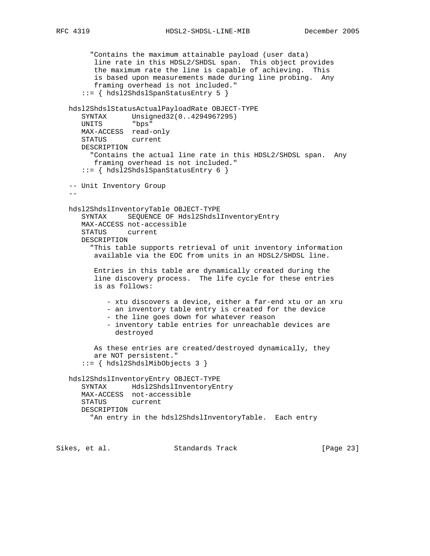"Contains the maximum attainable payload (user data) line rate in this HDSL2/SHDSL span. This object provides the maximum rate the line is capable of achieving. This is based upon measurements made during line probing. Any framing overhead is not included." ::= { hdsl2ShdslSpanStatusEntry 5 } hdsl2ShdslStatusActualPayloadRate OBJECT-TYPE SYNTAX Unsigned32(0..4294967295) UNITS "bps" MAX-ACCESS read-only STATUS current DESCRIPTION "Contains the actual line rate in this HDSL2/SHDSL span. Any framing overhead is not included." ::= { hdsl2ShdslSpanStatusEntry 6 } -- Unit Inventory Group  $-$  hdsl2ShdslInventoryTable OBJECT-TYPE SYNTAX SEQUENCE OF Hdsl2ShdslInventoryEntry MAX-ACCESS not-accessible STATUS current DESCRIPTION "This table supports retrieval of unit inventory information available via the EOC from units in an HDSL2/SHDSL line. Entries in this table are dynamically created during the line discovery process. The life cycle for these entries is as follows: - xtu discovers a device, either a far-end xtu or an xru - an inventory table entry is created for the device - the line goes down for whatever reason - inventory table entries for unreachable devices are destroyed As these entries are created/destroyed dynamically, they are NOT persistent." ::= { hdsl2ShdslMibObjects 3 } hdsl2ShdslInventoryEntry OBJECT-TYPE

```
 SYNTAX Hdsl2ShdslInventoryEntry
 MAX-ACCESS not-accessible
 STATUS current
 DESCRIPTION
   "An entry in the hdsl2ShdslInventoryTable. Each entry
```
Sikes, et al. Standards Track [Page 23]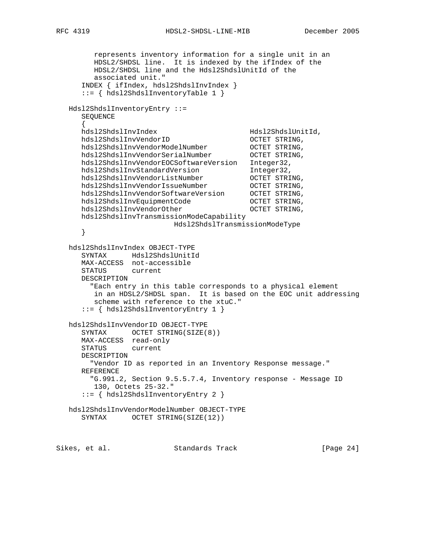represents inventory information for a single unit in an HDSL2/SHDSL line. It is indexed by the ifIndex of the HDSL2/SHDSL line and the Hdsl2ShdslUnitId of the associated unit." INDEX { ifIndex, hdsl2ShdslInvIndex } ::= { hdsl2ShdslInventoryTable 1 } Hdsl2ShdslInventoryEntry ::= SEQUENCE  $\{$  hdsl2ShdslInvIndex Hdsl2ShdslUnitId, hdsl2ShdslInvVendorID OCTET STRING, hdsl2ShdslInvVendorModelNumber OCTET STRING, hdsl2ShdslInvVendorSerialNumber OCTET STRING, hdsl2ShdslInvVendorEOCSoftwareVersion Integer32, hdsl2ShdslInvStandardVersion 1nteger32, hdsl2ShdslInvVendorListNumber OCTET STRING, hdsl2ShdslInvVendorIssueNumber OCTET STRING, hdsl2ShdslInvVendorSoftwareVersion OCTET STRING, hdsl2ShdslInvEquipmentCode OCTET STRING, hdsl2ShdslInvVendorOther OCTET STRING, hdsl2ShdslInvTransmissionModeCapability Hdsl2ShdslTransmissionModeType } hdsl2ShdslInvIndex OBJECT-TYPE SYNTAX Hdsl2ShdslUnitId MAX-ACCESS not-accessible STATUS current DESCRIPTION "Each entry in this table corresponds to a physical element in an HDSL2/SHDSL span. It is based on the EOC unit addressing scheme with reference to the xtuC." ::= { hdsl2ShdslInventoryEntry 1 } hdsl2ShdslInvVendorID OBJECT-TYPE SYNTAX OCTET STRING(SIZE(8)) MAX-ACCESS read-only STATUS current DESCRIPTION "Vendor ID as reported in an Inventory Response message." REFERENCE "G.991.2, Section 9.5.5.7.4, Inventory response - Message ID 130, Octets 25-32." ::= { hdsl2ShdslInventoryEntry 2 } hdsl2ShdslInvVendorModelNumber OBJECT-TYPE SYNTAX OCTET STRING(SIZE(12))

Sikes, et al. Standards Track [Page 24]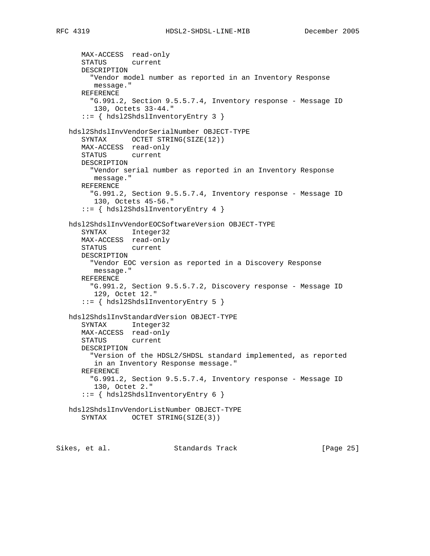MAX-ACCESS read-only STATUS current DESCRIPTION "Vendor model number as reported in an Inventory Response message." REFERENCE "G.991.2, Section 9.5.5.7.4, Inventory response - Message ID 130, Octets 33-44." ::= { hdsl2ShdslInventoryEntry 3 } hdsl2ShdslInvVendorSerialNumber OBJECT-TYPE SYNTAX OCTET STRING(SIZE(12)) MAX-ACCESS read-only STATUS current DESCRIPTION "Vendor serial number as reported in an Inventory Response message." REFERENCE "G.991.2, Section 9.5.5.7.4, Inventory response - Message ID 130, Octets 45-56." ::= { hdsl2ShdslInventoryEntry 4 } hdsl2ShdslInvVendorEOCSoftwareVersion OBJECT-TYPE SYNTAX Integer32 MAX-ACCESS read-only STATUS current DESCRIPTION "Vendor EOC version as reported in a Discovery Response message." REFERENCE "G.991.2, Section 9.5.5.7.2, Discovery response - Message ID 129, Octet 12." ::= { hdsl2ShdslInventoryEntry 5 } hdsl2ShdslInvStandardVersion OBJECT-TYPE SYNTAX Integer32 MAX-ACCESS read-only STATUS current DESCRIPTION "Version of the HDSL2/SHDSL standard implemented, as reported in an Inventory Response message." REFERENCE "G.991.2, Section 9.5.5.7.4, Inventory response - Message ID 130, Octet 2." ::= { hdsl2ShdslInventoryEntry 6 } hdsl2ShdslInvVendorListNumber OBJECT-TYPE SYNTAX OCTET STRING(SIZE(3))

Sikes, et al. Standards Track [Page 25]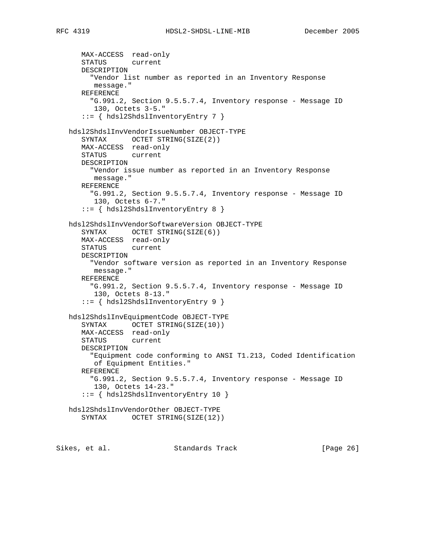```
 MAX-ACCESS read-only
      STATUS current
      DESCRIPTION
        "Vendor list number as reported in an Inventory Response
         message."
      REFERENCE
        "G.991.2, Section 9.5.5.7.4, Inventory response - Message ID
         130, Octets 3-5."
       ::= { hdsl2ShdslInventoryEntry 7 }
   hdsl2ShdslInvVendorIssueNumber OBJECT-TYPE
     SYNTAX OCTET STRING(SIZE(2))
      MAX-ACCESS read-only
      STATUS current
      DESCRIPTION
        "Vendor issue number as reported in an Inventory Response
         message."
      REFERENCE
        "G.991.2, Section 9.5.5.7.4, Inventory response - Message ID
         130, Octets 6-7."
      ::= { hdsl2ShdslInventoryEntry 8 }
   hdsl2ShdslInvVendorSoftwareVersion OBJECT-TYPE
     SYNTAX OCTET STRING(SIZE(6))
      MAX-ACCESS read-only
      STATUS current
      DESCRIPTION
        "Vendor software version as reported in an Inventory Response
         message."
      REFERENCE
        "G.991.2, Section 9.5.5.7.4, Inventory response - Message ID
         130, Octets 8-13."
       ::= { hdsl2ShdslInventoryEntry 9 }
   hdsl2ShdslInvEquipmentCode OBJECT-TYPE
     SYNTAX OCTET STRING(SIZE(10))
      MAX-ACCESS read-only
      STATUS current
      DESCRIPTION
        "Equipment code conforming to ANSI T1.213, Coded Identification
         of Equipment Entities."
      REFERENCE
        "G.991.2, Section 9.5.5.7.4, Inventory response - Message ID
         130, Octets 14-23."
       ::= { hdsl2ShdslInventoryEntry 10 }
   hdsl2ShdslInvVendorOther OBJECT-TYPE
     SYNTAX OCTET STRING(SIZE(12))
Sikes, et al. Standards Track [Page 26]
```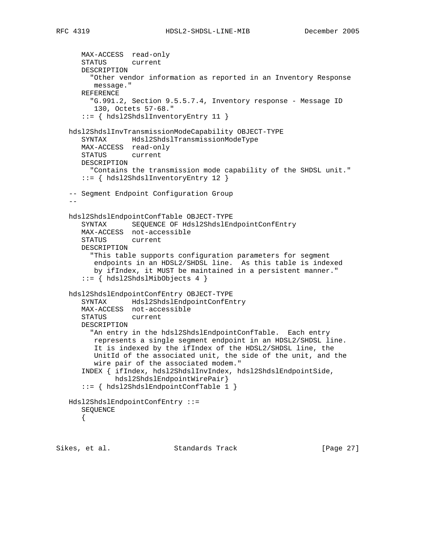```
 MAX-ACCESS read-only
      STATUS current
      DESCRIPTION
         "Other vendor information as reported in an Inventory Response
         message."
      REFERENCE
        "G.991.2, Section 9.5.5.7.4, Inventory response - Message ID
         130, Octets 57-68."
      ::= { hdsl2ShdslInventoryEntry 11 }
   hdsl2ShdslInvTransmissionModeCapability OBJECT-TYPE
      SYNTAX Hdsl2ShdslTransmissionModeType
      MAX-ACCESS read-only
      STATUS current
      DESCRIPTION
        "Contains the transmission mode capability of the SHDSL unit."
      ::= { hdsl2ShdslInventoryEntry 12 }
   -- Segment Endpoint Configuration Group
 --
   hdsl2ShdslEndpointConfTable OBJECT-TYPE
      SYNTAX SEQUENCE OF Hdsl2ShdslEndpointConfEntry
      MAX-ACCESS not-accessible
      STATUS current
      DESCRIPTION
         "This table supports configuration parameters for segment
         endpoints in an HDSL2/SHDSL line. As this table is indexed
         by ifIndex, it MUST be maintained in a persistent manner."
      ::= { hdsl2ShdslMibObjects 4 }
   hdsl2ShdslEndpointConfEntry OBJECT-TYPE
      SYNTAX Hdsl2ShdslEndpointConfEntry
      MAX-ACCESS not-accessible
      STATUS current
      DESCRIPTION
        "An entry in the hdsl2ShdslEndpointConfTable. Each entry
         represents a single segment endpoint in an HDSL2/SHDSL line.
         It is indexed by the ifIndex of the HDSL2/SHDSL line, the
         UnitId of the associated unit, the side of the unit, and the
         wire pair of the associated modem."
      INDEX { ifIndex, hdsl2ShdslInvIndex, hdsl2ShdslEndpointSide,
              hdsl2ShdslEndpointWirePair}
      ::= { hdsl2ShdslEndpointConfTable 1 }
   Hdsl2ShdslEndpointConfEntry ::=
      SEQUENCE
      {
```
Sikes, et al. Standards Track [Page 27]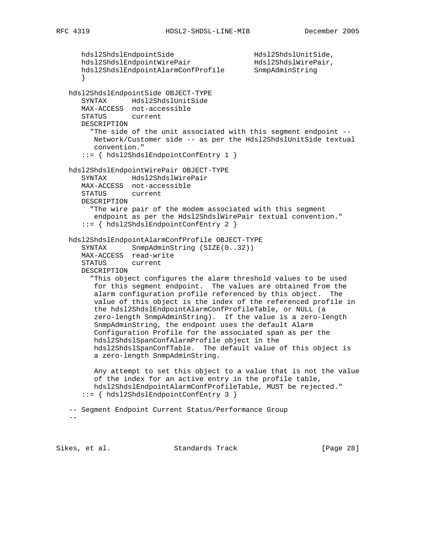```
hdsl2ShdslEndpointSide Hdsl2ShdslUnitSide, hdsl2ShdslEndpointWirePair Hdsl2ShdslWirePair,
hdsl2ShdslEndpointWirePair Hdsl2ShdslWirePair,
 hdsl2ShdslEndpointAlarmConfProfile SnmpAdminString
      }
   hdsl2ShdslEndpointSide OBJECT-TYPE
      SYNTAX Hdsl2ShdslUnitSide
      MAX-ACCESS not-accessible
      STATUS current
      DESCRIPTION
        "The side of the unit associated with this segment endpoint --
        Network/Customer side -- as per the Hdsl2ShdslUnitSide textual
         convention."
      ::= { hdsl2ShdslEndpointConfEntry 1 }
   hdsl2ShdslEndpointWirePair OBJECT-TYPE
      SYNTAX Hdsl2ShdslWirePair
      MAX-ACCESS not-accessible
      STATUS current
      DESCRIPTION
        "The wire pair of the modem associated with this segment
         endpoint as per the Hdsl2ShdslWirePair textual convention."
      ::= { hdsl2ShdslEndpointConfEntry 2 }
   hdsl2ShdslEndpointAlarmConfProfile OBJECT-TYPE
SYNTAX SnmpAdminString (SIZE(0..32))
 MAX-ACCESS read-write
      STATUS current
      DESCRIPTION
        "This object configures the alarm threshold values to be used
         for this segment endpoint. The values are obtained from the
         alarm configuration profile referenced by this object. The
         value of this object is the index of the referenced profile in
         the hdsl2ShdslEndpointAlarmConfProfileTable, or NULL (a
         zero-length SnmpAdminString). If the value is a zero-length
         SnmpAdminString, the endpoint uses the default Alarm
         Configuration Profile for the associated span as per the
         hdsl2ShdslSpanConfAlarmProfile object in the
         hdsl2ShdslSpanConfTable. The default value of this object is
         a zero-length SnmpAdminString.
         Any attempt to set this object to a value that is not the value
         of the index for an active entry in the profile table,
         hdsl2ShdslEndpointAlarmConfProfileTable, MUST be rejected."
      ::= { hdsl2ShdslEndpointConfEntry 3 }
   -- Segment Endpoint Current Status/Performance Group
```
 $-$ 

Sikes, et al. Standards Track [Page 28]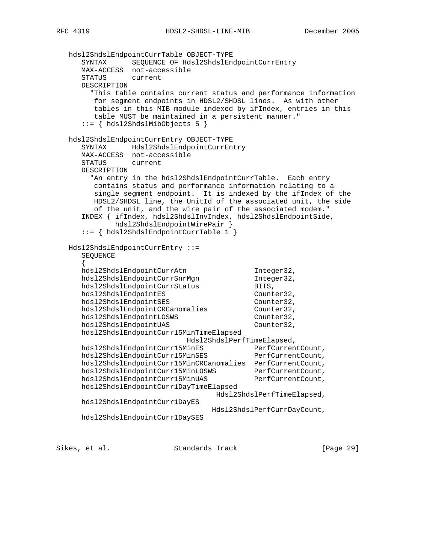hdsl2ShdslEndpointCurrTable OBJECT-TYPE SYNTAX SEQUENCE OF Hdsl2ShdslEndpointCurrEntry MAX-ACCESS not-accessible STATUS current DESCRIPTION "This table contains current status and performance information for segment endpoints in HDSL2/SHDSL lines. As with other tables in this MIB module indexed by ifIndex, entries in this table MUST be maintained in a persistent manner." ::= { hdsl2ShdslMibObjects 5 } hdsl2ShdslEndpointCurrEntry OBJECT-TYPE SYNTAX Hdsl2ShdslEndpointCurrEntry MAX-ACCESS not-accessible STATUS current DESCRIPTION "An entry in the hdsl2ShdslEndpointCurrTable. Each entry contains status and performance information relating to a single segment endpoint. It is indexed by the ifIndex of the HDSL2/SHDSL line, the UnitId of the associated unit, the side of the unit, and the wire pair of the associated modem." INDEX { ifIndex, hdsl2ShdslInvIndex, hdsl2ShdslEndpointSide, hdsl2ShdslEndpointWirePair } ::= { hdsl2ShdslEndpointCurrTable 1 } Hdsl2ShdslEndpointCurrEntry ::= SEQUENCE  $\{$ hdsl2ShdslEndpointCurrAtn Integer32, hdsl2ShdslEndpointCurrSnrMgn 1nteger32, hdsl2ShdslEndpointCurrStatus BITS, hdsl2ShdslEndpointES Counter32, hdsl2ShdslEndpointSES Counter32, hdsl2ShdslEndpointCRCanomalies Counter32, hdsl2ShdslEndpointLOSWS Counter32, hdsl2ShdslEndpointUAS Counter32, hdsl2ShdslEndpointCurr15MinTimeElapsed Hdsl2ShdslPerfTimeElapsed, hdsl2ShdslEndpointCurr15MinES PerfCurrentCount, hdsl2ShdslEndpointCurr15MinSES PerfCurrentCount, hdsl2ShdslEndpointCurr15MinCRCanomalies PerfCurrentCount, hdsl2ShdslEndpointCurr15MinLOSWS PerfCurrentCount, hdsl2ShdslEndpointCurr15MinUAS PerfCurrentCount, hdsl2ShdslEndpointCurr1DayTimeElapsed Hdsl2ShdslPerfTimeElapsed, hdsl2ShdslEndpointCurr1DayES Hdsl2ShdslPerfCurrDayCount, hdsl2ShdslEndpointCurr1DaySES

Sikes, et al. Standards Track [Page 29]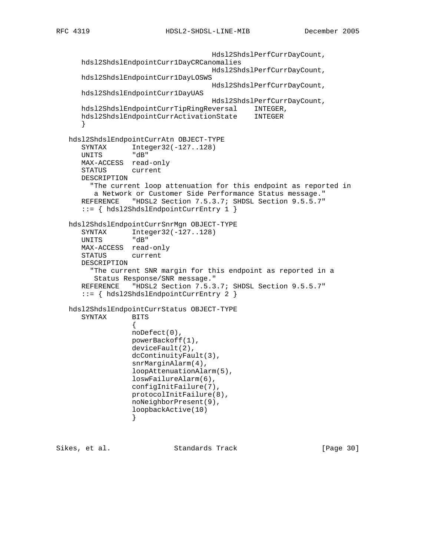```
 Hdsl2ShdslPerfCurrDayCount,
      hdsl2ShdslEndpointCurr1DayCRCanomalies
                                    Hdsl2ShdslPerfCurrDayCount,
      hdsl2ShdslEndpointCurr1DayLOSWS
                                    Hdsl2ShdslPerfCurrDayCount,
      hdsl2ShdslEndpointCurr1DayUAS
                                    Hdsl2ShdslPerfCurrDayCount,
      hdsl2ShdslEndpointCurrTipRingReversal INTEGER,
      hdsl2ShdslEndpointCurrActivationState INTEGER
      }
   hdsl2ShdslEndpointCurrAtn OBJECT-TYPE
     SYNTAX Integer32(-127..128)
      UNITS "dB"
      MAX-ACCESS read-only
      STATUS current
      DESCRIPTION
        "The current loop attenuation for this endpoint as reported in
        a Network or Customer Side Performance Status message."
      REFERENCE "HDSL2 Section 7.5.3.7; SHDSL Section 9.5.5.7"
      ::= { hdsl2ShdslEndpointCurrEntry 1 }
   hdsl2ShdslEndpointCurrSnrMgn OBJECT-TYPE
 SYNTAX Integer32(-127..128)
 UNITS "dB"
      MAX-ACCESS read-only
      STATUS current
      DESCRIPTION
        "The current SNR margin for this endpoint as reported in a
         Status Response/SNR message."
      REFERENCE "HDSL2 Section 7.5.3.7; SHDSL Section 9.5.5.7"
      ::= { hdsl2ShdslEndpointCurrEntry 2 }
   hdsl2ShdslEndpointCurrStatus OBJECT-TYPE
      SYNTAX BITS
\{ noDefect(0),
                  powerBackoff(1),
                  deviceFault(2),
                 dcContinuityFault(3),
                 snrMarginAlarm(4),
                 loopAttenuationAlarm(5),
                 loswFailureAlarm(6),
                 configInitFailure(7),
                 protocolInitFailure(8),
                 noNeighborPresent(9),
                  loopbackActive(10)
 }
```
Sikes, et al. Standards Track [Page 30]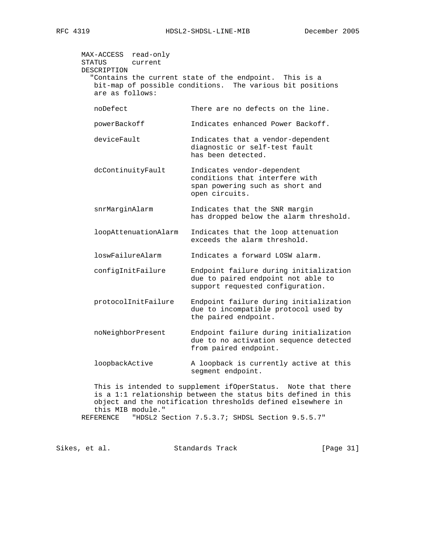| MAX-ACCESS read-only<br>STATUS<br>current<br>DESCRIPTION<br>are as follows: | "Contains the current state of the endpoint. This is a<br>bit-map of possible conditions. The various bit positions |
|-----------------------------------------------------------------------------|---------------------------------------------------------------------------------------------------------------------|
| noDefect                                                                    | There are no defects on the line.                                                                                   |
| powerBackoff                                                                | Indicates enhanced Power Backoff.                                                                                   |
| deviceFault                                                                 | Indicates that a vendor-dependent<br>diagnostic or self-test fault<br>has been detected.                            |
| dcContinuityFault                                                           | Indicates vendor-dependent<br>conditions that interfere with<br>span powering such as short and<br>open circuits.   |
| snrMarginAlarm                                                              | Indicates that the SNR margin<br>has dropped below the alarm threshold.                                             |
| loopAttenuationAlarm                                                        | Indicates that the loop attenuation<br>exceeds the alarm threshold.                                                 |
| loswFailureAlarm                                                            | Indicates a forward LOSW alarm.                                                                                     |
| configInitFailure                                                           | Endpoint failure during initialization<br>due to paired endpoint not able to<br>support requested configuration.    |
| protocolInitFailure                                                         | Endpoint failure during initialization<br>due to incompatible protocol used by<br>the paired endpoint.              |
| noNeighborPresent                                                           | Endpoint failure during initialization<br>due to no activation sequence detected<br>from paired endpoint.           |
| loopbackActive                                                              | A loopback is currently active at this<br>segment endpoint.                                                         |

 This is intended to supplement ifOperStatus. Note that there is a 1:1 relationship between the status bits defined in this object and the notification thresholds defined elsewhere in this MIB module." REFERENCE "HDSL2 Section 7.5.3.7; SHDSL Section 9.5.5.7"

Sikes, et al. Standards Track [Page 31]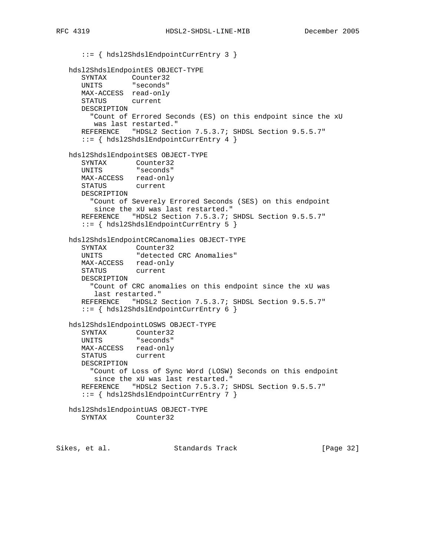::= { hdsl2ShdslEndpointCurrEntry 3 } hdsl2ShdslEndpointES OBJECT-TYPE SYNTAX Counter32 UNITS "seconds" MAX-ACCESS read-only STATUS current DESCRIPTION "Count of Errored Seconds (ES) on this endpoint since the xU was last restarted." REFERENCE "HDSL2 Section 7.5.3.7; SHDSL Section 9.5.5.7" ::= { hdsl2ShdslEndpointCurrEntry 4 } hdsl2ShdslEndpointSES OBJECT-TYPE SYNTAX Counter32 UNITS "seconds" MAX-ACCESS read-only STATUS current DESCRIPTION "Count of Severely Errored Seconds (SES) on this endpoint since the xU was last restarted." REFERENCE "HDSL2 Section 7.5.3.7; SHDSL Section 9.5.5.7" ::= { hdsl2ShdslEndpointCurrEntry 5 } hdsl2ShdslEndpointCRCanomalies OBJECT-TYPE SYNTAX Counter32 UNITS "detected CRC Anomalies" MAX-ACCESS read-only STATUS current DESCRIPTION "Count of CRC anomalies on this endpoint since the xU was last restarted." REFERENCE "HDSL2 Section 7.5.3.7; SHDSL Section 9.5.5.7" ::= { hdsl2ShdslEndpointCurrEntry 6 } hdsl2ShdslEndpointLOSWS OBJECT-TYPE SYNTAX Counter32 UNITS "seconds" MAX-ACCESS read-only STATUS current DESCRIPTION "Count of Loss of Sync Word (LOSW) Seconds on this endpoint since the xU was last restarted." REFERENCE "HDSL2 Section 7.5.3.7; SHDSL Section 9.5.5.7" ::= { hdsl2ShdslEndpointCurrEntry 7 } hdsl2ShdslEndpointUAS OBJECT-TYPE SYNTAX Counter32

Sikes, et al. Standards Track [Page 32]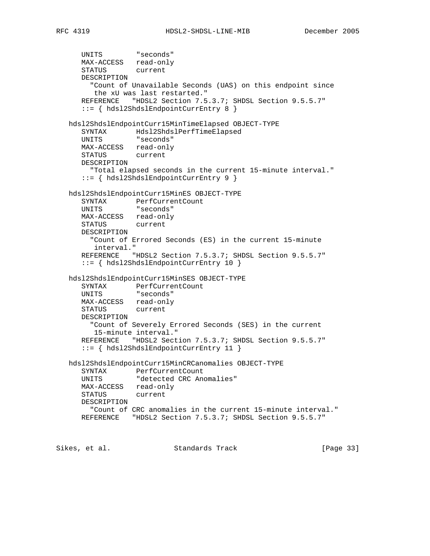```
 UNITS "seconds"
     MAX-ACCESS read-only
      STATUS current
      DESCRIPTION
        "Count of Unavailable Seconds (UAS) on this endpoint since
        the xU was last restarted."
      REFERENCE "HDSL2 Section 7.5.3.7; SHDSL Section 9.5.5.7"
      ::= { hdsl2ShdslEndpointCurrEntry 8 }
   hdsl2ShdslEndpointCurr15MinTimeElapsed OBJECT-TYPE
 SYNTAX Hdsl2ShdslPerfTimeElapsed
 UNITS "seconds"
      MAX-ACCESS read-only
      STATUS current
      DESCRIPTION
       "Total elapsed seconds in the current 15-minute interval."
      ::= { hdsl2ShdslEndpointCurrEntry 9 }
   hdsl2ShdslEndpointCurr15MinES OBJECT-TYPE
      SYNTAX PerfCurrentCount
      UNITS "seconds"
      MAX-ACCESS read-only
      STATUS current
      DESCRIPTION
        "Count of Errored Seconds (ES) in the current 15-minute
         interval."
     REFERENCE "HDSL2 Section 7.5.3.7; SHDSL Section 9.5.5.7"
      ::= { hdsl2ShdslEndpointCurrEntry 10 }
   hdsl2ShdslEndpointCurr15MinSES OBJECT-TYPE
 SYNTAX PerfCurrentCount
 UNITS "seconds"
      MAX-ACCESS read-only
      STATUS current
      DESCRIPTION
        "Count of Severely Errored Seconds (SES) in the current
        15-minute interval."
      REFERENCE "HDSL2 Section 7.5.3.7; SHDSL Section 9.5.5.7"
      ::= { hdsl2ShdslEndpointCurrEntry 11 }
   hdsl2ShdslEndpointCurr15MinCRCanomalies OBJECT-TYPE
      SYNTAX PerfCurrentCount
      UNITS "detected CRC Anomalies"
      MAX-ACCESS read-only
      STATUS current
      DESCRIPTION
        "Count of CRC anomalies in the current 15-minute interval."
      REFERENCE "HDSL2 Section 7.5.3.7; SHDSL Section 9.5.5.7"
Sikes, et al. Standards Track [Page 33]
```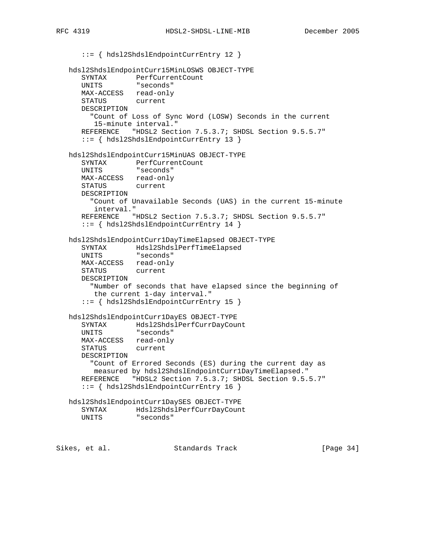```
 ::= { hdsl2ShdslEndpointCurrEntry 12 }
   hdsl2ShdslEndpointCurr15MinLOSWS OBJECT-TYPE
 SYNTAX PerfCurrentCount
 UNITS "seconds"
      MAX-ACCESS read-only
      STATUS current
      DESCRIPTION
        "Count of Loss of Sync Word (LOSW) Seconds in the current
        15-minute interval."
      REFERENCE "HDSL2 Section 7.5.3.7; SHDSL Section 9.5.5.7"
      ::= { hdsl2ShdslEndpointCurrEntry 13 }
   hdsl2ShdslEndpointCurr15MinUAS OBJECT-TYPE
 SYNTAX PerfCurrentCount
 UNITS "seconds"
      MAX-ACCESS read-only
      STATUS current
      DESCRIPTION
        "Count of Unavailable Seconds (UAS) in the current 15-minute
        interval."
      REFERENCE "HDSL2 Section 7.5.3.7; SHDSL Section 9.5.5.7"
      ::= { hdsl2ShdslEndpointCurrEntry 14 }
   hdsl2ShdslEndpointCurr1DayTimeElapsed OBJECT-TYPE
 SYNTAX Hdsl2ShdslPerfTimeElapsed
 UNITS "seconds"
      MAX-ACCESS read-only
      STATUS current
      DESCRIPTION
        "Number of seconds that have elapsed since the beginning of
         the current 1-day interval."
      ::= { hdsl2ShdslEndpointCurrEntry 15 }
   hdsl2ShdslEndpointCurr1DayES OBJECT-TYPE
      SYNTAX Hdsl2ShdslPerfCurrDayCount
      UNITS "seconds"
      MAX-ACCESS read-only
      STATUS current
      DESCRIPTION
        "Count of Errored Seconds (ES) during the current day as
        measured by hdsl2ShdslEndpointCurr1DayTimeElapsed."
      REFERENCE "HDSL2 Section 7.5.3.7; SHDSL Section 9.5.5.7"
      ::= { hdsl2ShdslEndpointCurrEntry 16 }
   hdsl2ShdslEndpointCurr1DaySES OBJECT-TYPE
     SYNTAX Hdsl2ShdslPerfCurrDayCount<br>UNITS "seconds"
                "seconds"
Sikes, et al. Standards Track [Page 34]
```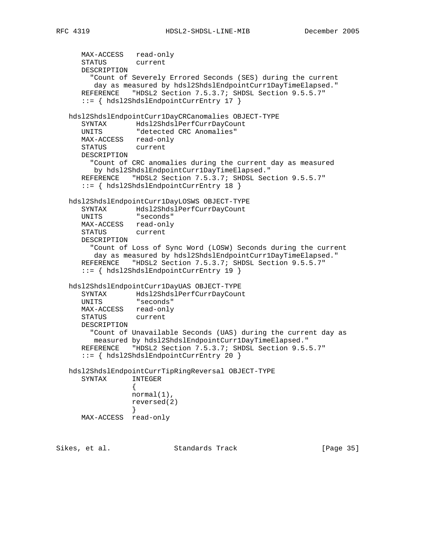```
 MAX-ACCESS read-only
      STATUS current
      DESCRIPTION
        "Count of Severely Errored Seconds (SES) during the current
         day as measured by hdsl2ShdslEndpointCurr1DayTimeElapsed."
      REFERENCE "HDSL2 Section 7.5.3.7; SHDSL Section 9.5.5.7"
      ::= { hdsl2ShdslEndpointCurrEntry 17 }
   hdsl2ShdslEndpointCurr1DayCRCanomalies OBJECT-TYPE
      SYNTAX Hdsl2ShdslPerfCurrDayCount
      UNITS "detected CRC Anomalies"
      MAX-ACCESS read-only
      STATUS current
      DESCRIPTION
        "Count of CRC anomalies during the current day as measured
        by hdsl2ShdslEndpointCurr1DayTimeElapsed."
      REFERENCE "HDSL2 Section 7.5.3.7; SHDSL Section 9.5.5.7"
      ::= { hdsl2ShdslEndpointCurrEntry 18 }
   hdsl2ShdslEndpointCurr1DayLOSWS OBJECT-TYPE
      SYNTAX Hdsl2ShdslPerfCurrDayCount
      UNITS "seconds"
      MAX-ACCESS read-only
      STATUS current
      DESCRIPTION
        "Count of Loss of Sync Word (LOSW) Seconds during the current
        day as measured by hdsl2ShdslEndpointCurr1DayTimeElapsed."
      REFERENCE "HDSL2 Section 7.5.3.7; SHDSL Section 9.5.5.7"
      ::= { hdsl2ShdslEndpointCurrEntry 19 }
   hdsl2ShdslEndpointCurr1DayUAS OBJECT-TYPE
 SYNTAX Hdsl2ShdslPerfCurrDayCount
 UNITS "seconds"
      MAX-ACCESS read-only
      STATUS current
      DESCRIPTION
        "Count of Unavailable Seconds (UAS) during the current day as
        measured by hdsl2ShdslEndpointCurr1DayTimeElapsed."
      REFERENCE "HDSL2 Section 7.5.3.7; SHDSL Section 9.5.5.7"
      ::= { hdsl2ShdslEndpointCurrEntry 20 }
   hdsl2ShdslEndpointCurrTipRingReversal OBJECT-TYPE
      SYNTAX INTEGER
\{ normal(1),
                 reversed(2)
 }
      MAX-ACCESS read-only
Sikes, et al. Standards Track [Page 35]
```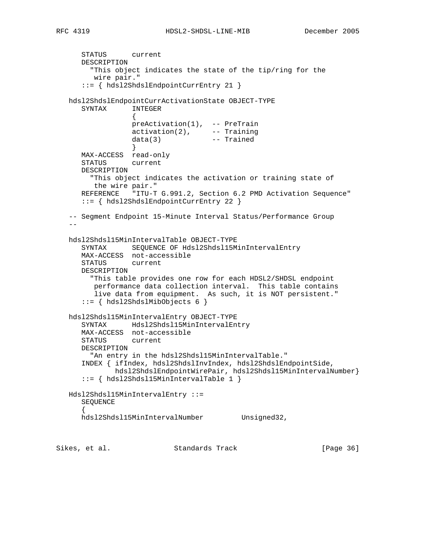```
 STATUS current
      DESCRIPTION
        "This object indicates the state of the tip/ring for the
        wire pair."
      ::= { hdsl2ShdslEndpointCurrEntry 21 }
   hdsl2ShdslEndpointCurrActivationState OBJECT-TYPE
      SYNTAX INTEGER
\{ preActivation(1), -- PreTrain
 activation(2), -- Training
 data(3) -- Trained
 }
      MAX-ACCESS read-only
      STATUS current
      DESCRIPTION
        "This object indicates the activation or training state of
        the wire pair."
      REFERENCE "ITU-T G.991.2, Section 6.2 PMD Activation Sequence"
      ::= { hdsl2ShdslEndpointCurrEntry 22 }
   -- Segment Endpoint 15-Minute Interval Status/Performance Group
  - - hdsl2Shdsl15MinIntervalTable OBJECT-TYPE
 SYNTAX SEQUENCE OF Hdsl2Shdsl15MinIntervalEntry
 MAX-ACCESS not-accessible
      STATUS current
      DESCRIPTION
        "This table provides one row for each HDSL2/SHDSL endpoint
        performance data collection interval. This table contains
        live data from equipment. As such, it is NOT persistent."
      ::= { hdsl2ShdslMibObjects 6 }
   hdsl2Shdsl15MinIntervalEntry OBJECT-TYPE
      SYNTAX Hdsl2Shdsl15MinIntervalEntry
      MAX-ACCESS not-accessible
      STATUS current
      DESCRIPTION
       "An entry in the hdsl2Shdsl15MinIntervalTable."
      INDEX { ifIndex, hdsl2ShdslInvIndex, hdsl2ShdslEndpointSide,
             hdsl2ShdslEndpointWirePair, hdsl2Shdsl15MinIntervalNumber}
      ::= { hdsl2Shdsl15MinIntervalTable 1 }
   Hdsl2Shdsl15MinIntervalEntry ::=
      SEQUENCE
\{hdsl2Shdsl15MinIntervalNumber Unsigned32,
```
Sikes, et al. Standards Track [Page 36]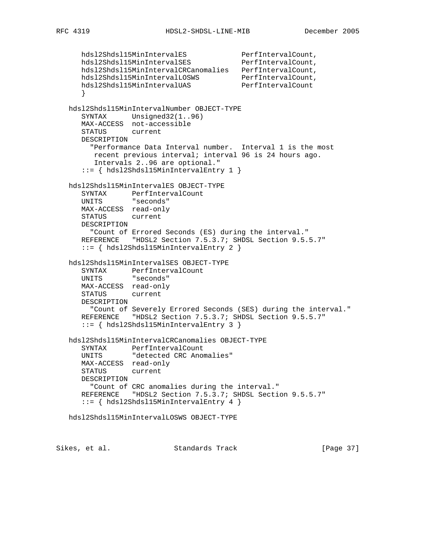```
 hdsl2Shdsl15MinIntervalES PerfIntervalCount,
 hdsl2Shdsl15MinIntervalSES PerfIntervalCount,
 hdsl2Shdsl15MinIntervalCRCanomalies PerfIntervalCount,
 hdsl2Shdsl15MinIntervalLOSWS PerfIntervalCount,
hdsl2Shdsl15MinIntervalUAS PerfIntervalCount
      }
   hdsl2Shdsl15MinIntervalNumber OBJECT-TYPE
      SYNTAX Unsigned32(1..96)
      MAX-ACCESS not-accessible
      STATUS current
      DESCRIPTION
       "Performance Data Interval number. Interval 1 is the most
        recent previous interval; interval 96 is 24 hours ago.
        Intervals 2..96 are optional."
      ::= { hdsl2Shdsl15MinIntervalEntry 1 }
   hdsl2Shdsl15MinIntervalES OBJECT-TYPE
      SYNTAX PerfIntervalCount
      UNITS "seconds"
      MAX-ACCESS read-only
      STATUS current
      DESCRIPTION
        "Count of Errored Seconds (ES) during the interval."
     REFERENCE "HDSL2 Section 7.5.3.7; SHDSL Section 9.5.5.7"
      ::= { hdsl2Shdsl15MinIntervalEntry 2 }
   hdsl2Shdsl15MinIntervalSES OBJECT-TYPE
 SYNTAX PerfIntervalCount
 UNITS "seconds"
      MAX-ACCESS read-only
      STATUS current
      DESCRIPTION
        "Count of Severely Errored Seconds (SES) during the interval."
      REFERENCE "HDSL2 Section 7.5.3.7; SHDSL Section 9.5.5.7"
      ::= { hdsl2Shdsl15MinIntervalEntry 3 }
   hdsl2Shdsl15MinIntervalCRCanomalies OBJECT-TYPE
 SYNTAX PerfIntervalCount
 UNITS "detected CRC Anomalies"
      MAX-ACCESS read-only
      STATUS current
      DESCRIPTION
       "Count of CRC anomalies during the interval."
      REFERENCE "HDSL2 Section 7.5.3.7; SHDSL Section 9.5.5.7"
      ::= { hdsl2Shdsl15MinIntervalEntry 4 }
   hdsl2Shdsl15MinIntervalLOSWS OBJECT-TYPE
```
Sikes, et al. Standards Track [Page 37]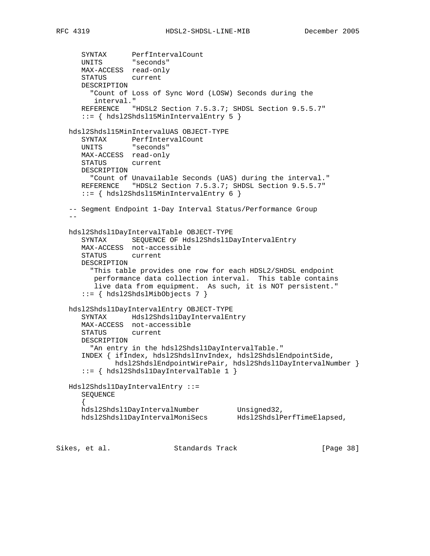```
 SYNTAX PerfIntervalCount
 UNITS "seconds"
      MAX-ACCESS read-only
      STATUS current
      DESCRIPTION
        "Count of Loss of Sync Word (LOSW) Seconds during the
         interval."
      REFERENCE "HDSL2 Section 7.5.3.7; SHDSL Section 9.5.5.7"
      ::= { hdsl2Shdsl15MinIntervalEntry 5 }
   hdsl2Shdsl15MinIntervalUAS OBJECT-TYPE
     SYNTAX PerfIntervalCount
      UNITS "seconds"
      MAX-ACCESS read-only
      STATUS current
      DESCRIPTION
        "Count of Unavailable Seconds (UAS) during the interval."
     REFERENCE "HDSL2 Section 7.5.3.7; SHDSL Section 9.5.5.7"
      ::= { hdsl2Shdsl15MinIntervalEntry 6 }
   -- Segment Endpoint 1-Day Interval Status/Performance Group
 --
   hdsl2Shdsl1DayIntervalTable OBJECT-TYPE
      SYNTAX SEQUENCE OF Hdsl2Shdsl1DayIntervalEntry
      MAX-ACCESS not-accessible
      STATUS current
      DESCRIPTION
        "This table provides one row for each HDSL2/SHDSL endpoint
         performance data collection interval. This table contains
         live data from equipment. As such, it is NOT persistent."
      ::= { hdsl2ShdslMibObjects 7 }
   hdsl2Shdsl1DayIntervalEntry OBJECT-TYPE
      SYNTAX Hdsl2Shdsl1DayIntervalEntry
      MAX-ACCESS not-accessible
      STATUS current
      DESCRIPTION
        "An entry in the hdsl2Shdsl1DayIntervalTable."
      INDEX { ifIndex, hdsl2ShdslInvIndex, hdsl2ShdslEndpointSide,
              hdsl2ShdslEndpointWirePair, hdsl2Shdsl1DayIntervalNumber }
      ::= { hdsl2Shdsl1DayIntervalTable 1 }
   Hdsl2Shdsl1DayIntervalEntry ::=
      SEQUENCE
\{hdsl2Shdsl1DayIntervalNumber Unsigned32,
 hdsl2Shdsl1DayIntervalMoniSecs Hdsl2ShdslPerfTimeElapsed,
Sikes, et al.                 Standards Track                 [Page 38]
```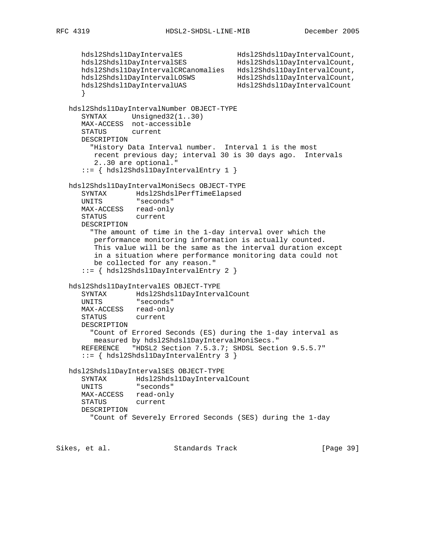```
 hdsl2Shdsl1DayIntervalES Hdsl2Shdsl1DayIntervalCount,
 hdsl2Shdsl1DayIntervalSES Hdsl2Shdsl1DayIntervalCount,
 hdsl2Shdsl1DayIntervalCRCanomalies Hdsl2Shdsl1DayIntervalCount,
 hdsl2Shdsl1DayIntervalLOSWS Hdsl2Shdsl1DayIntervalCount,
 hdsl2Shdsl1DayIntervalUAS Hdsl2Shdsl1DayIntervalCount
      }
   hdsl2Shdsl1DayIntervalNumber OBJECT-TYPE
     SYNTAX Unsigned32(1..30)
      MAX-ACCESS not-accessible
      STATUS current
      DESCRIPTION
        "History Data Interval number. Interval 1 is the most
         recent previous day; interval 30 is 30 days ago. Intervals
         2..30 are optional."
      ::= { hdsl2Shdsl1DayIntervalEntry 1 }
   hdsl2Shdsl1DayIntervalMoniSecs OBJECT-TYPE
      SYNTAX Hdsl2ShdslPerfTimeElapsed
      UNITS "seconds"
      MAX-ACCESS read-only
      STATUS current
      DESCRIPTION
        "The amount of time in the 1-day interval over which the
         performance monitoring information is actually counted.
         This value will be the same as the interval duration except
         in a situation where performance monitoring data could not
         be collected for any reason."
      ::= { hdsl2Shdsl1DayIntervalEntry 2 }
   hdsl2Shdsl1DayIntervalES OBJECT-TYPE
     SYNTAX Hdsl2Shdsl1DayIntervalCount
      UNITS "seconds"
      MAX-ACCESS read-only
      STATUS current
      DESCRIPTION
        "Count of Errored Seconds (ES) during the 1-day interval as
        measured by hdsl2Shdsl1DayIntervalMoniSecs."
     REFERENCE "HDSL2 Section 7.5.3.7; SHDSL Section 9.5.5.7"
      ::= { hdsl2Shdsl1DayIntervalEntry 3 }
   hdsl2Shdsl1DayIntervalSES OBJECT-TYPE
      SYNTAX Hdsl2Shdsl1DayIntervalCount
      UNITS "seconds"
      MAX-ACCESS read-only
      STATUS current
      DESCRIPTION
        "Count of Severely Errored Seconds (SES) during the 1-day
Sikes, et al.                 Standards Track                 [Page 39]
```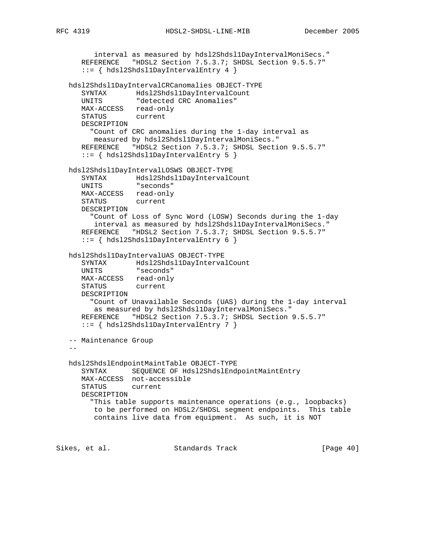```
RFC 4319 HDSL2-SHDSL-LINE-MIB December 2005
```
 interval as measured by hdsl2Shdsl1DayIntervalMoniSecs." REFERENCE "HDSL2 Section 7.5.3.7; SHDSL Section 9.5.5.7" ::= { hdsl2Shdsl1DayIntervalEntry 4 } hdsl2Shdsl1DayIntervalCRCanomalies OBJECT-TYPE SYNTAX Hdsl2Shdsl1DayIntervalCount UNITS "detected CRC Anomalies" MAX-ACCESS read-only STATUS current DESCRIPTION "Count of CRC anomalies during the 1-day interval as measured by hdsl2Shdsl1DayIntervalMoniSecs." REFERENCE "HDSL2 Section 7.5.3.7; SHDSL Section 9.5.5.7" ::= { hdsl2Shdsl1DayIntervalEntry 5 } hdsl2Shdsl1DayIntervalLOSWS OBJECT-TYPE SYNTAX Hdsl2Shdsl1DayIntervalCount UNITS "seconds" MAX-ACCESS read-only STATUS current DESCRIPTION "Count of Loss of Sync Word (LOSW) Seconds during the 1-day interval as measured by hdsl2Shdsl1DayIntervalMoniSecs." REFERENCE "HDSL2 Section 7.5.3.7; SHDSL Section 9.5.5.7" ::= { hdsl2Shdsl1DayIntervalEntry 6 } hdsl2Shdsl1DayIntervalUAS OBJECT-TYPE SYNTAX Hdsl2Shdsl1DayIntervalCount UNITS "seconds" MAX-ACCESS read-only STATUS current DESCRIPTION "Count of Unavailable Seconds (UAS) during the 1-day interval as measured by hdsl2Shdsl1DayIntervalMoniSecs." REFERENCE "HDSL2 Section 7.5.3.7; SHDSL Section 9.5.5.7" ::= { hdsl2Shdsl1DayIntervalEntry 7 } -- Maintenance Group  $$  hdsl2ShdslEndpointMaintTable OBJECT-TYPE SYNTAX SEQUENCE OF Hdsl2ShdslEndpointMaintEntry MAX-ACCESS not-accessible STATUS current DESCRIPTION "This table supports maintenance operations (e.g., loopbacks) to be performed on HDSL2/SHDSL segment endpoints. This table contains live data from equipment. As such, it is NOT

Sikes, et al. Standards Track [Page 40]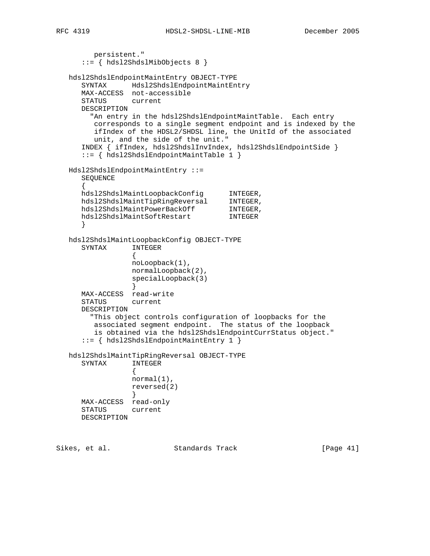```
 persistent."
      ::= { hdsl2ShdslMibObjects 8 }
   hdsl2ShdslEndpointMaintEntry OBJECT-TYPE
      SYNTAX Hdsl2ShdslEndpointMaintEntry
      MAX-ACCESS not-accessible
      STATUS current
      DESCRIPTION
        "An entry in the hdsl2ShdslEndpointMaintTable. Each entry
        corresponds to a single segment endpoint and is indexed by the
        ifIndex of the HDSL2/SHDSL line, the UnitId of the associated
        unit, and the side of the unit."
      INDEX { ifIndex, hdsl2ShdslInvIndex, hdsl2ShdslEndpointSide }
      ::= { hdsl2ShdslEndpointMaintTable 1 }
   Hdsl2ShdslEndpointMaintEntry ::=
      SEQUENCE
\{hdsl2ShdslMaintLoopbackConfig INTEGER,
hdsl2ShdslMaintTipRingReversal INTEGER,
hdsl2ShdslMaintPowerBackOff INTEGER,
 hdsl2ShdslMaintSoftRestart INTEGER
      }
   hdsl2ShdslMaintLoopbackConfig OBJECT-TYPE
      SYNTAX INTEGER
\{ noLoopback(1),
                normalLoopback(2),
                specialLoopback(3)
 }
      MAX-ACCESS read-write
      STATUS current
      DESCRIPTION
        "This object controls configuration of loopbacks for the
        associated segment endpoint. The status of the loopback
        is obtained via the hdsl2ShdslEndpointCurrStatus object."
      ::= { hdsl2ShdslEndpointMaintEntry 1 }
   hdsl2ShdslMaintTipRingReversal OBJECT-TYPE
      SYNTAX INTEGER
\{ normal(1),
                reversed(2)
 }
      MAX-ACCESS read-only
      STATUS current
      DESCRIPTION
```
Sikes, et al. Standards Track [Page 41]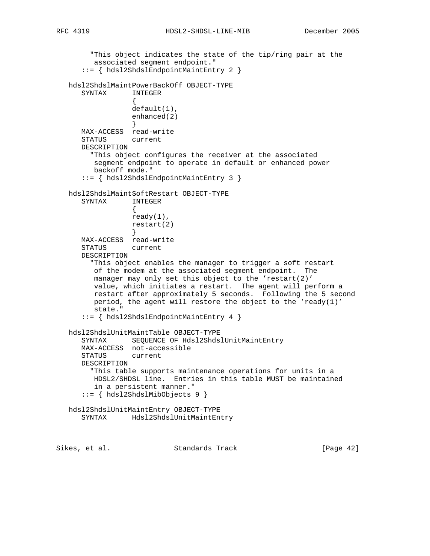```
 "This object indicates the state of the tip/ring pair at the
         associated segment endpoint."
      ::= { hdsl2ShdslEndpointMaintEntry 2 }
   hdsl2ShdslMaintPowerBackOff OBJECT-TYPE
      SYNTAX INTEGER
\{ default(1),
                 enhanced(2)
 }
      MAX-ACCESS read-write
      STATUS current
      DESCRIPTION
        "This object configures the receiver at the associated
         segment endpoint to operate in default or enhanced power
         backoff mode."
      ::= { hdsl2ShdslEndpointMaintEntry 3 }
   hdsl2ShdslMaintSoftRestart OBJECT-TYPE
      SYNTAX INTEGER
\{ ready(1),
                 restart(2)
 }
      MAX-ACCESS read-write
      STATUS current
      DESCRIPTION
        "This object enables the manager to trigger a soft restart
         of the modem at the associated segment endpoint. The
         manager may only set this object to the 'restart(2)'
         value, which initiates a restart. The agent will perform a
         restart after approximately 5 seconds. Following the 5 second
         period, the agent will restore the object to the 'ready(1)'
         state."
      ::= { hdsl2ShdslEndpointMaintEntry 4 }
   hdsl2ShdslUnitMaintTable OBJECT-TYPE
      SYNTAX SEQUENCE OF Hdsl2ShdslUnitMaintEntry
      MAX-ACCESS not-accessible
      STATUS current
      DESCRIPTION
        "This table supports maintenance operations for units in a
        HDSL2/SHDSL line. Entries in this table MUST be maintained
         in a persistent manner."
      ::= { hdsl2ShdslMibObjects 9 }
   hdsl2ShdslUnitMaintEntry OBJECT-TYPE
      SYNTAX Hdsl2ShdslUnitMaintEntry
Sikes, et al. Standards Track [Page 42]
```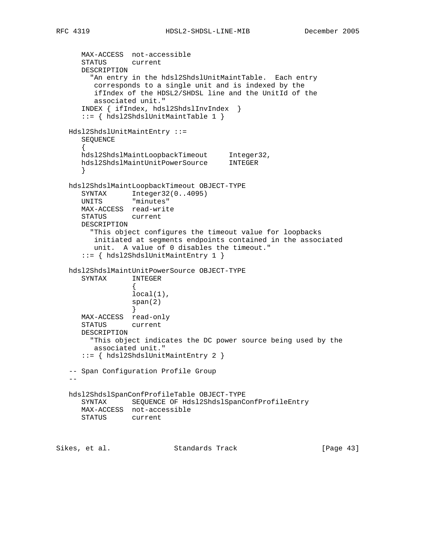MAX-ACCESS not-accessible STATUS current DESCRIPTION "An entry in the hdsl2ShdslUnitMaintTable. Each entry corresponds to a single unit and is indexed by the ifIndex of the HDSL2/SHDSL line and the UnitId of the associated unit." INDEX { ifIndex, hdsl2ShdslInvIndex } ::= { hdsl2ShdslUnitMaintTable 1 } Hdsl2ShdslUnitMaintEntry ::= SEQUENCE  $\{$  hdsl2ShdslMaintLoopbackTimeout Integer32, hdsl2ShdslMaintUnitPowerSource INTEGER } hdsl2ShdslMaintLoopbackTimeout OBJECT-TYPE SYNTAX Integer32(0..4095) UNITS "minutes" MAX-ACCESS read-write STATUS current DESCRIPTION "This object configures the timeout value for loopbacks initiated at segments endpoints contained in the associated unit. A value of 0 disables the timeout." ::= { hdsl2ShdslUnitMaintEntry 1 } hdsl2ShdslMaintUnitPowerSource OBJECT-TYPE SYNTAX INTEGER  $\{$  local(1), span(2) } MAX-ACCESS read-only STATUS current DESCRIPTION "This object indicates the DC power source being used by the associated unit." ::= { hdsl2ShdslUnitMaintEntry 2 } -- Span Configuration Profile Group  $-$  hdsl2ShdslSpanConfProfileTable OBJECT-TYPE SYNTAX SEQUENCE OF Hdsl2ShdslSpanConfProfileEntry MAX-ACCESS not-accessible STATUS current Sikes, et al. Standards Track [Page 43]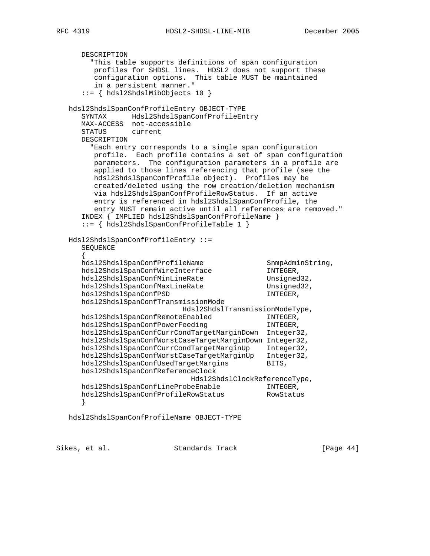RFC 4319 HDSL2-SHDSL-LINE-MIB December 2005

 DESCRIPTION "This table supports definitions of span configuration profiles for SHDSL lines. HDSL2 does not support these configuration options. This table MUST be maintained in a persistent manner." ::= { hdsl2ShdslMibObjects 10 } hdsl2ShdslSpanConfProfileEntry OBJECT-TYPE SYNTAX Hdsl2ShdslSpanConfProfileEntry MAX-ACCESS not-accessible STATUS current DESCRIPTION "Each entry corresponds to a single span configuration profile. Each profile contains a set of span configuration parameters. The configuration parameters in a profile are applied to those lines referencing that profile (see the hdsl2ShdslSpanConfProfile object). Profiles may be created/deleted using the row creation/deletion mechanism via hdsl2ShdslSpanConfProfileRowStatus. If an active entry is referenced in hdsl2ShdslSpanConfProfile, the entry MUST remain active until all references are removed." INDEX { IMPLIED hdsl2ShdslSpanConfProfileName } ::= { hdsl2ShdslSpanConfProfileTable 1 } Hdsl2ShdslSpanConfProfileEntry ::= SEQUENCE { hdsl2ShdslSpanConfProfileName SnmpAdminString, hdsl2ShdslSpanConfWireInterface INTEGER, hdsl2ShdslSpanConfMinLineRate Unsigned32, hdsl2ShdslSpanConfMaxLineRate Unsigned32, hdsl2ShdslSpanConfPSD INTEGER, hdsl2ShdslSpanConfTransmissionMode Hdsl2ShdslTransmissionModeType,<br>eEnabled INTEGER, hdsl2ShdslSpanConfRemoteEnabled hdsl2ShdslSpanConfPowerFeeding INTEGER, hdsl2ShdslSpanConfCurrCondTargetMarginDown Integer32, hdsl2ShdslSpanConfWorstCaseTargetMarginDown Integer32, hdsl2ShdslSpanConfCurrCondTargetMarginUp Integer32, hdsl2ShdslSpanConfWorstCaseTargetMarginUp Integer32, hdsl2ShdslSpanConfUsedTargetMargins BITS, hdsl2ShdslSpanConfReferenceClock Hdsl2ShdslClockReferenceType, hdsl2ShdslSpanConfLineProbeEnable INTEGER, hdsl2ShdslSpanConfProfileRowStatus RowStatus } hdsl2ShdslSpanConfProfileName OBJECT-TYPE

Sikes, et al. Standards Track [Page 44]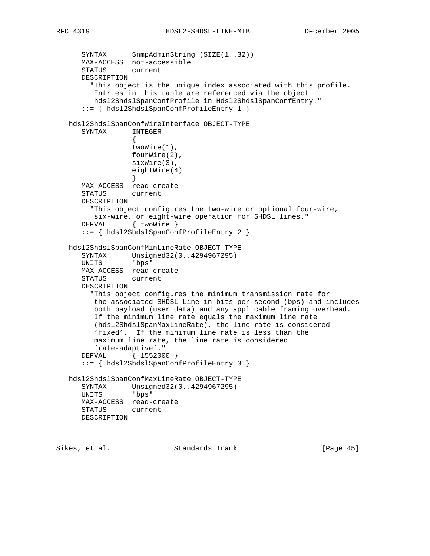```
SYNTAX SnmpAdminString (SIZE(1..32))
 MAX-ACCESS not-accessible
      STATUS current
      DESCRIPTION
        "This object is the unique index associated with this profile.
         Entries in this table are referenced via the object
         hdsl2ShdslSpanConfProfile in Hdsl2ShdslSpanConfEntry."
      ::= { hdsl2ShdslSpanConfProfileEntry 1 }
   hdsl2ShdslSpanConfWireInterface OBJECT-TYPE
      SYNTAX INTEGER
\{ twoWire(1),
                  fourWire(2),
                 sixWire(3),
                 eightWire(4)
 }
      MAX-ACCESS read-create
      STATUS current
      DESCRIPTION
        "This object configures the two-wire or optional four-wire,
         six-wire, or eight-wire operation for SHDSL lines."
     DEFVAL { twoWire }
      ::= { hdsl2ShdslSpanConfProfileEntry 2 }
   hdsl2ShdslSpanConfMinLineRate OBJECT-TYPE
      SYNTAX Unsigned32(0..4294967295)
      UNITS "bps"
      MAX-ACCESS read-create
      STATUS current
      DESCRIPTION
        "This object configures the minimum transmission rate for
         the associated SHDSL Line in bits-per-second (bps) and includes
         both payload (user data) and any applicable framing overhead.
         If the minimum line rate equals the maximum line rate
         (hdsl2ShdslSpanMaxLineRate), the line rate is considered
         'fixed'. If the minimum line rate is less than the
         maximum line rate, the line rate is considered
         'rate-adaptive'."
      DEFVAL { 1552000 }
      ::= { hdsl2ShdslSpanConfProfileEntry 3 }
   hdsl2ShdslSpanConfMaxLineRate OBJECT-TYPE
      SYNTAX Unsigned32(0..4294967295)
      UNITS "bps"
      MAX-ACCESS read-create
      STATUS current
      DESCRIPTION
```
Sikes, et al. Standards Track [Page 45]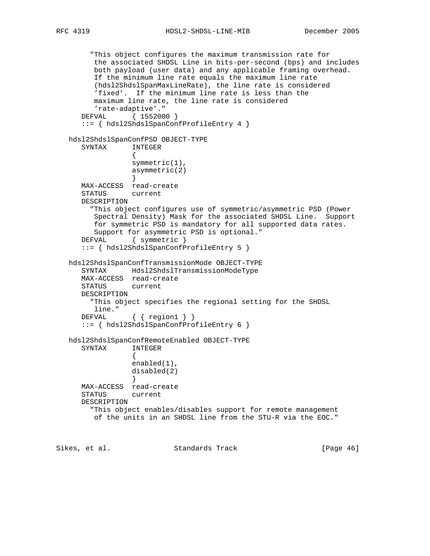"This object configures the maximum transmission rate for the associated SHDSL Line in bits-per-second (bps) and includes both payload (user data) and any applicable framing overhead. If the minimum line rate equals the maximum line rate (hdsl2ShdslSpanMaxLineRate), the line rate is considered 'fixed'. If the minimum line rate is less than the maximum line rate, the line rate is considered 'rate-adaptive'." DEFVAL { 1552000 } ::= { hdsl2ShdslSpanConfProfileEntry 4 } hdsl2ShdslSpanConfPSD OBJECT-TYPE SYNTAX INTEGER  $\{$  symmetric(1), asymmetric(2) } MAX-ACCESS read-create STATUS current DESCRIPTION "This object configures use of symmetric/asymmetric PSD (Power Spectral Density) Mask for the associated SHDSL Line. Support for symmetric PSD is mandatory for all supported data rates. Support for asymmetric PSD is optional." DEFVAL { symmetric } ::= { hdsl2ShdslSpanConfProfileEntry 5 } hdsl2ShdslSpanConfTransmissionMode OBJECT-TYPE SYNTAX Hdsl2ShdslTransmissionModeType MAX-ACCESS read-create STATUS current DESCRIPTION "This object specifies the regional setting for the SHDSL line." DEFVAL { { region1 } } ::= { hdsl2ShdslSpanConfProfileEntry 6 } hdsl2ShdslSpanConfRemoteEnabled OBJECT-TYPE SYNTAX INTEGER  $\{$  enabled(1), disabled(2) } MAX-ACCESS read-create STATUS current DESCRIPTION "This object enables/disables support for remote management of the units in an SHDSL line from the STU-R via the EOC."

Sikes, et al. Standards Track [Page 46]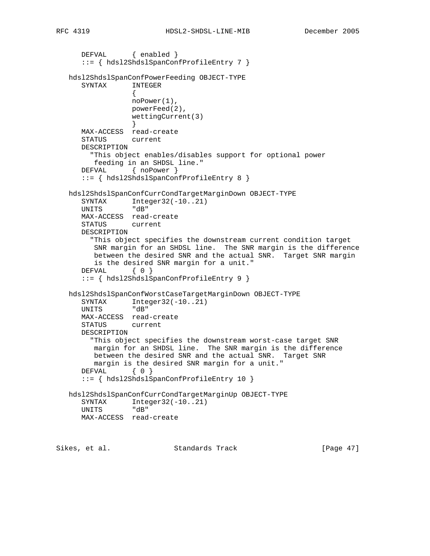```
DEFVAL { enabled }
      ::= { hdsl2ShdslSpanConfProfileEntry 7 }
   hdsl2ShdslSpanConfPowerFeeding OBJECT-TYPE
      SYNTAX INTEGER
\{ noPower(1),
                 powerFeed(2),
                 wettingCurrent(3)
 }
      MAX-ACCESS read-create
      STATUS current
      DESCRIPTION
        "This object enables/disables support for optional power
        feeding in an SHDSL line."
      DEFVAL { noPower }
      ::= { hdsl2ShdslSpanConfProfileEntry 8 }
   hdsl2ShdslSpanConfCurrCondTargetMarginDown OBJECT-TYPE
     SYNTAX Integer32(-10..21)
      UNITS "dB"
      MAX-ACCESS read-create
      STATUS current
      DESCRIPTION
        "This object specifies the downstream current condition target
         SNR margin for an SHDSL line. The SNR margin is the difference
         between the desired SNR and the actual SNR. Target SNR margin
         is the desired SNR margin for a unit."
     DEFVAL { 0 }
      ::= { hdsl2ShdslSpanConfProfileEntry 9 }
   hdsl2ShdslSpanConfWorstCaseTargetMarginDown OBJECT-TYPE
     SYNTAX Integer32(-10..21)
      UNITS "dB"
      MAX-ACCESS read-create
      STATUS current
      DESCRIPTION
        "This object specifies the downstream worst-case target SNR
         margin for an SHDSL line. The SNR margin is the difference
         between the desired SNR and the actual SNR. Target SNR
         margin is the desired SNR margin for a unit."
     DEFVAL { 0 }
      ::= { hdsl2ShdslSpanConfProfileEntry 10 }
   hdsl2ShdslSpanConfCurrCondTargetMarginUp OBJECT-TYPE
     SYNTAX Integer32(-10..21)
      UNITS "dB"
      MAX-ACCESS read-create
```
Sikes, et al. Standards Track [Page 47]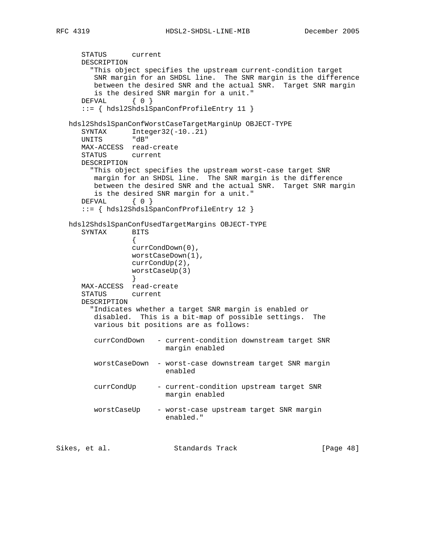```
 STATUS current
      DESCRIPTION
        "This object specifies the upstream current-condition target
         SNR margin for an SHDSL line. The SNR margin is the difference
         between the desired SNR and the actual SNR. Target SNR margin
         is the desired SNR margin for a unit."
     DEFVAL { 0 }
      ::= { hdsl2ShdslSpanConfProfileEntry 11 }
   hdsl2ShdslSpanConfWorstCaseTargetMarginUp OBJECT-TYPE
     SYNTAX Integer32(-10..21)
      UNITS "dB"
      MAX-ACCESS read-create
      STATUS current
      DESCRIPTION
        "This object specifies the upstream worst-case target SNR
         margin for an SHDSL line. The SNR margin is the difference
         between the desired SNR and the actual SNR. Target SNR margin
        is the desired SNR margin for a unit."
      DEFVAL { 0 }
      ::= { hdsl2ShdslSpanConfProfileEntry 12 }
   hdsl2ShdslSpanConfUsedTargetMargins OBJECT-TYPE
      SYNTAX BITS
\{ currCondDown(0),
                 worstCaseDown(1),
                 currCondUp(2),
                 worstCaseUp(3)
 }
      MAX-ACCESS read-create
      STATUS current
      DESCRIPTION
        "Indicates whether a target SNR margin is enabled or
         disabled. This is a bit-map of possible settings. The
         various bit positions are as follows:
         currCondDown - current-condition downstream target SNR
                        margin enabled
         worstCaseDown - worst-case downstream target SNR margin
                         enabled
         currCondUp - current-condition upstream target SNR
                        margin enabled
         worstCaseUp - worst-case upstream target SNR margin
                         enabled."
Sikes, et al. Standards Track [Page 48]
```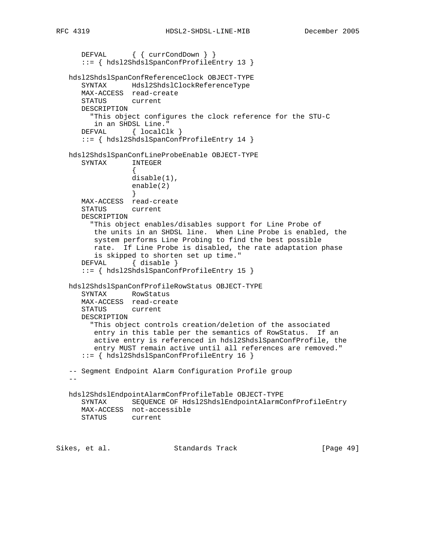```
 DEFVAL { { currCondDown } }
      ::= { hdsl2ShdslSpanConfProfileEntry 13 }
   hdsl2ShdslSpanConfReferenceClock OBJECT-TYPE
      SYNTAX Hdsl2ShdslClockReferenceType
      MAX-ACCESS read-create
      STATUS current
      DESCRIPTION
        "This object configures the clock reference for the STU-C
         in an SHDSL Line."
     DEFVAL { localClk }
      ::= { hdsl2ShdslSpanConfProfileEntry 14 }
   hdsl2ShdslSpanConfLineProbeEnable OBJECT-TYPE
      SYNTAX INTEGER
\{ disable(1),
                 enable(2)
 }
      MAX-ACCESS read-create
      STATUS current
      DESCRIPTION
        "This object enables/disables support for Line Probe of
         the units in an SHDSL line. When Line Probe is enabled, the
         system performs Line Probing to find the best possible
         rate. If Line Probe is disabled, the rate adaptation phase
         is skipped to shorten set up time."
     DEFVAL { disable }
      ::= { hdsl2ShdslSpanConfProfileEntry 15 }
   hdsl2ShdslSpanConfProfileRowStatus OBJECT-TYPE
      SYNTAX RowStatus
      MAX-ACCESS read-create
      STATUS current
      DESCRIPTION
        "This object controls creation/deletion of the associated
         entry in this table per the semantics of RowStatus. If an
         active entry is referenced in hdsl2ShdslSpanConfProfile, the
         entry MUST remain active until all references are removed."
       ::= { hdsl2ShdslSpanConfProfileEntry 16 }
   -- Segment Endpoint Alarm Configuration Profile group
 --
   hdsl2ShdslEndpointAlarmConfProfileTable OBJECT-TYPE
      SYNTAX SEQUENCE OF Hdsl2ShdslEndpointAlarmConfProfileEntry
      MAX-ACCESS not-accessible
      STATUS current
Sikes, et al.                 Standards Track                 [Page 49]
```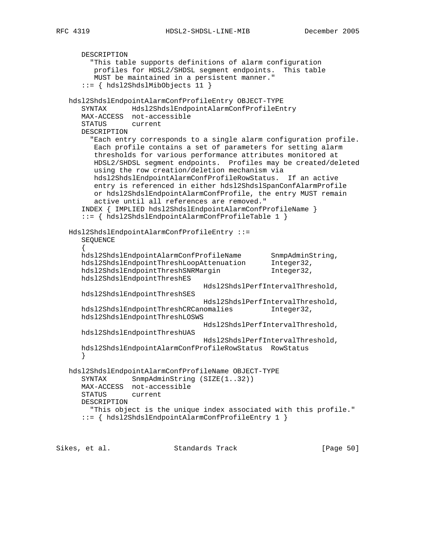```
 DESCRIPTION
        "This table supports definitions of alarm configuration
         profiles for HDSL2/SHDSL segment endpoints. This table
         MUST be maintained in a persistent manner."
      ::= { hdsl2ShdslMibObjects 11 }
   hdsl2ShdslEndpointAlarmConfProfileEntry OBJECT-TYPE
      SYNTAX Hdsl2ShdslEndpointAlarmConfProfileEntry
      MAX-ACCESS not-accessible
      STATUS current
      DESCRIPTION
        "Each entry corresponds to a single alarm configuration profile.
         Each profile contains a set of parameters for setting alarm
         thresholds for various performance attributes monitored at
         HDSL2/SHDSL segment endpoints. Profiles may be created/deleted
         using the row creation/deletion mechanism via
         hdsl2ShdslEndpointAlarmConfProfileRowStatus. If an active
         entry is referenced in either hdsl2ShdslSpanConfAlarmProfile
         or hdsl2ShdslEndpointAlarmConfProfile, the entry MUST remain
         active until all references are removed."
      INDEX { IMPLIED hdsl2ShdslEndpointAlarmConfProfileName }
      ::= { hdsl2ShdslEndpointAlarmConfProfileTable 1 }
   Hdsl2ShdslEndpointAlarmConfProfileEntry ::=
      SEQUENCE
\{ hdsl2ShdslEndpointAlarmConfProfileName SnmpAdminString,
 hdsl2ShdslEndpointThreshLoopAttenuation Integer32,
hdsl2ShdslEndpointThreshSNRMargin 1nteger32,
      hdsl2ShdslEndpointThreshES
                                   Hdsl2ShdslPerfIntervalThreshold,
      hdsl2ShdslEndpointThreshSES
                                   Hdsl2ShdslPerfIntervalThreshold,
      hdsl2ShdslEndpointThreshCRCanomalies Integer32,
      hdsl2ShdslEndpointThreshLOSWS
                                   Hdsl2ShdslPerfIntervalThreshold,
      hdsl2ShdslEndpointThreshUAS
                                   Hdsl2ShdslPerfIntervalThreshold,
      hdsl2ShdslEndpointAlarmConfProfileRowStatus RowStatus
      }
   hdsl2ShdslEndpointAlarmConfProfileName OBJECT-TYPE
     SYNTAX SnmpAdminString (SIZE(1..32))
      MAX-ACCESS not-accessible
      STATUS current
      DESCRIPTION
        "This object is the unique index associated with this profile."
      ::= { hdsl2ShdslEndpointAlarmConfProfileEntry 1 }
```
Sikes, et al. Standards Track [Page 50]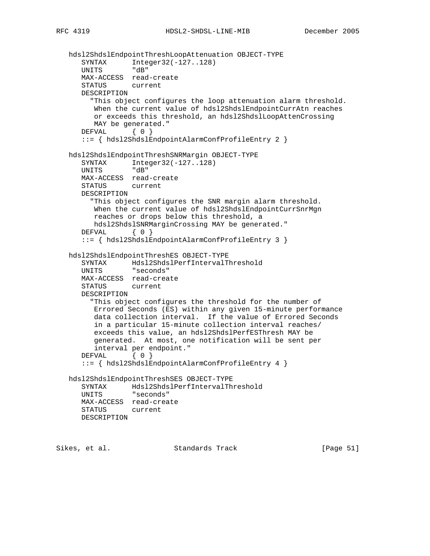```
 hdsl2ShdslEndpointThreshLoopAttenuation OBJECT-TYPE
      SYNTAX Integer32(-127..128)
      UNITS "dB"
      MAX-ACCESS read-create
      STATUS current
      DESCRIPTION
        "This object configures the loop attenuation alarm threshold.
         When the current value of hdsl2ShdslEndpointCurrAtn reaches
         or exceeds this threshold, an hdsl2ShdslLoopAttenCrossing
         MAY be generated."
     DEFVAL { 0 }
      ::= { hdsl2ShdslEndpointAlarmConfProfileEntry 2 }
   hdsl2ShdslEndpointThreshSNRMargin OBJECT-TYPE
     SYNTAX Integer32(-127..128)
      UNITS "dB"
      MAX-ACCESS read-create
      STATUS current
      DESCRIPTION
        "This object configures the SNR margin alarm threshold.
        When the current value of hdsl2ShdslEndpointCurrSnrMgn
         reaches or drops below this threshold, a
        hdsl2ShdslSNRMarginCrossing MAY be generated."
     DEFVAL { 0 }
      ::= { hdsl2ShdslEndpointAlarmConfProfileEntry 3 }
   hdsl2ShdslEndpointThreshES OBJECT-TYPE
 SYNTAX Hdsl2ShdslPerfIntervalThreshold
 UNITS "seconds"
      MAX-ACCESS read-create
      STATUS current
      DESCRIPTION
        "This object configures the threshold for the number of
        Errored Seconds (ES) within any given 15-minute performance
         data collection interval. If the value of Errored Seconds
         in a particular 15-minute collection interval reaches/
         exceeds this value, an hdsl2ShdslPerfESThresh MAY be
         generated. At most, one notification will be sent per
         interval per endpoint."
     DEFVAL { 0 }
      ::= { hdsl2ShdslEndpointAlarmConfProfileEntry 4 }
   hdsl2ShdslEndpointThreshSES OBJECT-TYPE
      SYNTAX Hdsl2ShdslPerfIntervalThreshold
      UNITS "seconds"
      MAX-ACCESS read-create
      STATUS current
      DESCRIPTION
```
Sikes, et al. Standards Track [Page 51]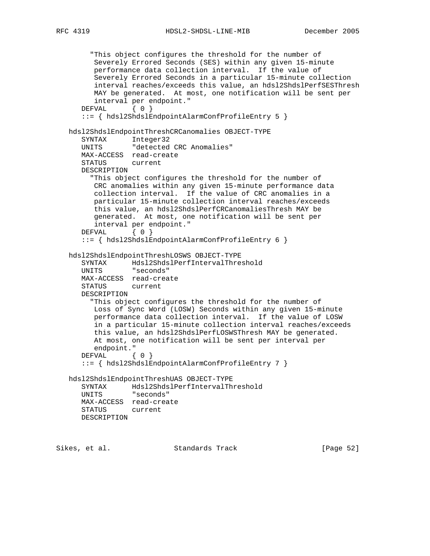RFC 4319 HDSL2-SHDSL-LINE-MIB December 2005

```
 "This object configures the threshold for the number of
      Severely Errored Seconds (SES) within any given 15-minute
       performance data collection interval. If the value of
       Severely Errored Seconds in a particular 15-minute collection
       interval reaches/exceeds this value, an hdsl2ShdslPerfSESThresh
      MAY be generated. At most, one notification will be sent per
      interval per endpoint."
   DEFVAL { 0 }
    ::= { hdsl2ShdslEndpointAlarmConfProfileEntry 5 }
 hdsl2ShdslEndpointThreshCRCanomalies OBJECT-TYPE
    SYNTAX Integer32
    UNITS "detected CRC Anomalies"
    MAX-ACCESS read-create
    STATUS current
    DESCRIPTION
      "This object configures the threshold for the number of
      CRC anomalies within any given 15-minute performance data
      collection interval. If the value of CRC anomalies in a
      particular 15-minute collection interval reaches/exceeds
      this value, an hdsl2ShdslPerfCRCanomaliesThresh MAY be
      generated. At most, one notification will be sent per
      interval per endpoint."
   DEFVAL { 0 }
    ::= { hdsl2ShdslEndpointAlarmConfProfileEntry 6 }
 hdsl2ShdslEndpointThreshLOSWS OBJECT-TYPE
    SYNTAX Hdsl2ShdslPerfIntervalThreshold
    UNITS "seconds"
   MAX-ACCESS read-create
    STATUS current
    DESCRIPTION
      "This object configures the threshold for the number of
      Loss of Sync Word (LOSW) Seconds within any given 15-minute
      performance data collection interval. If the value of LOSW
      in a particular 15-minute collection interval reaches/exceeds
       this value, an hdsl2ShdslPerfLOSWSThresh MAY be generated.
       At most, one notification will be sent per interval per
       endpoint."
   DEFVAL { 0 }
    ::= { hdsl2ShdslEndpointAlarmConfProfileEntry 7 }
 hdsl2ShdslEndpointThreshUAS OBJECT-TYPE
   SYNTAX Hdsl2ShdslPerfIntervalThreshold
    UNITS "seconds"
    MAX-ACCESS read-create
    STATUS current
   DESCRIPTION
```
Sikes, et al. Standards Track [Page 52]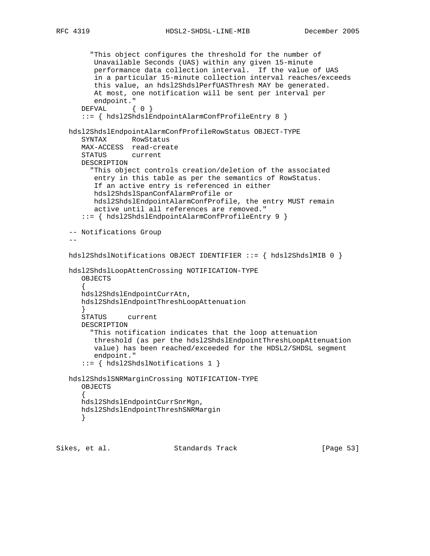```
 "This object configures the threshold for the number of
         Unavailable Seconds (UAS) within any given 15-minute
         performance data collection interval. If the value of UAS
         in a particular 15-minute collection interval reaches/exceeds
         this value, an hdsl2ShdslPerfUASThresh MAY be generated.
         At most, one notification will be sent per interval per
         endpoint."
     DEFVAL { 0 }
      ::= { hdsl2ShdslEndpointAlarmConfProfileEntry 8 }
   hdsl2ShdslEndpointAlarmConfProfileRowStatus OBJECT-TYPE
      SYNTAX RowStatus
      MAX-ACCESS read-create
      STATUS current
      DESCRIPTION
        "This object controls creation/deletion of the associated
         entry in this table as per the semantics of RowStatus.
         If an active entry is referenced in either
         hdsl2ShdslSpanConfAlarmProfile or
         hdsl2ShdslEndpointAlarmConfProfile, the entry MUST remain
         active until all references are removed."
       ::= { hdsl2ShdslEndpointAlarmConfProfileEntry 9 }
   -- Notifications Group
  - hdsl2ShdslNotifications OBJECT IDENTIFIER ::= { hdsl2ShdslMIB 0 }
   hdsl2ShdslLoopAttenCrossing NOTIFICATION-TYPE
      OBJECTS
      {
      hdsl2ShdslEndpointCurrAtn,
      hdsl2ShdslEndpointThreshLoopAttenuation
      }
      STATUS current
      DESCRIPTION
        "This notification indicates that the loop attenuation
         threshold (as per the hdsl2ShdslEndpointThreshLoopAttenuation
         value) has been reached/exceeded for the HDSL2/SHDSL segment
         endpoint."
       ::= { hdsl2ShdslNotifications 1 }
   hdsl2ShdslSNRMarginCrossing NOTIFICATION-TYPE
      OBJECTS
\{ hdsl2ShdslEndpointCurrSnrMgn,
      hdsl2ShdslEndpointThreshSNRMargin
```

```
 }
```
Sikes, et al. Standards Track [Page 53]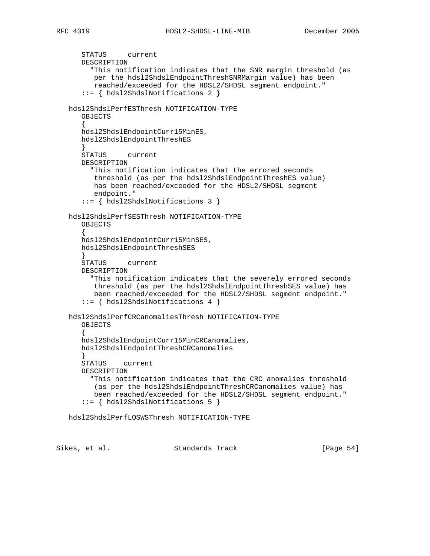```
 STATUS current
      DESCRIPTION
        "This notification indicates that the SNR margin threshold (as
         per the hdsl2ShdslEndpointThreshSNRMargin value) has been
         reached/exceeded for the HDSL2/SHDSL segment endpoint."
      ::= { hdsl2ShdslNotifications 2 }
   hdsl2ShdslPerfESThresh NOTIFICATION-TYPE
      OBJECTS
\{ hdsl2ShdslEndpointCurr15MinES,
      hdsl2ShdslEndpointThreshES
 }
      STATUS current
      DESCRIPTION
        "This notification indicates that the errored seconds
         threshold (as per the hdsl2ShdslEndpointThreshES value)
         has been reached/exceeded for the HDSL2/SHDSL segment
         endpoint."
      ::= { hdsl2ShdslNotifications 3 }
   hdsl2ShdslPerfSESThresh NOTIFICATION-TYPE
      OBJECTS
\{ hdsl2ShdslEndpointCurr15MinSES,
      hdsl2ShdslEndpointThreshSES
 }
      STATUS current
      DESCRIPTION
        "This notification indicates that the severely errored seconds
         threshold (as per the hdsl2ShdslEndpointThreshSES value) has
         been reached/exceeded for the HDSL2/SHDSL segment endpoint."
      ::= { hdsl2ShdslNotifications 4 }
   hdsl2ShdslPerfCRCanomaliesThresh NOTIFICATION-TYPE
     OBJECTS
\{ hdsl2ShdslEndpointCurr15MinCRCanomalies,
      hdsl2ShdslEndpointThreshCRCanomalies
 }
      STATUS current
      DESCRIPTION
        "This notification indicates that the CRC anomalies threshold
         (as per the hdsl2ShdslEndpointThreshCRCanomalies value) has
         been reached/exceeded for the HDSL2/SHDSL segment endpoint."
      ::= { hdsl2ShdslNotifications 5 }
   hdsl2ShdslPerfLOSWSThresh NOTIFICATION-TYPE
```
Sikes, et al. Standards Track [Page 54]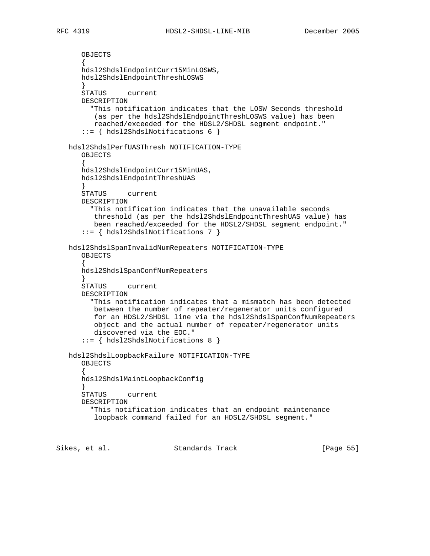```
 OBJECTS
\{ hdsl2ShdslEndpointCurr15MinLOSWS,
      hdsl2ShdslEndpointThreshLOSWS
 }
      STATUS current
      DESCRIPTION
        "This notification indicates that the LOSW Seconds threshold
         (as per the hdsl2ShdslEndpointThreshLOSWS value) has been
         reached/exceeded for the HDSL2/SHDSL segment endpoint."
      ::= { hdsl2ShdslNotifications 6 }
   hdsl2ShdslPerfUASThresh NOTIFICATION-TYPE
      OBJECTS
\{ hdsl2ShdslEndpointCurr15MinUAS,
      hdsl2ShdslEndpointThreshUAS
 }
      STATUS current
      DESCRIPTION
        "This notification indicates that the unavailable seconds
         threshold (as per the hdsl2ShdslEndpointThreshUAS value) has
         been reached/exceeded for the HDSL2/SHDSL segment endpoint."
      ::= { hdsl2ShdslNotifications 7 }
   hdsl2ShdslSpanInvalidNumRepeaters NOTIFICATION-TYPE
      OBJECTS
      {
      hdsl2ShdslSpanConfNumRepeaters
      }
      STATUS current
      DESCRIPTION
        "This notification indicates that a mismatch has been detected
         between the number of repeater/regenerator units configured
         for an HDSL2/SHDSL line via the hdsl2ShdslSpanConfNumRepeaters
         object and the actual number of repeater/regenerator units
         discovered via the EOC."
       ::= { hdsl2ShdslNotifications 8 }
   hdsl2ShdslLoopbackFailure NOTIFICATION-TYPE
      OBJECTS
\{ hdsl2ShdslMaintLoopbackConfig
 }
      STATUS current
      DESCRIPTION
        "This notification indicates that an endpoint maintenance
         loopback command failed for an HDSL2/SHDSL segment."
```
Sikes, et al. Standards Track [Page 55]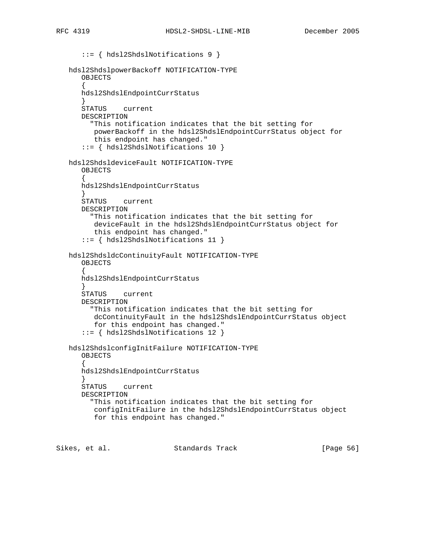```
 ::= { hdsl2ShdslNotifications 9 }
   hdsl2ShdslpowerBackoff NOTIFICATION-TYPE
      OBJECTS
\{ hdsl2ShdslEndpointCurrStatus
      }
      STATUS current
      DESCRIPTION
        "This notification indicates that the bit setting for
         powerBackoff in the hdsl2ShdslEndpointCurrStatus object for
         this endpoint has changed."
      ::= { hdsl2ShdslNotifications 10 }
   hdsl2ShdsldeviceFault NOTIFICATION-TYPE
      OBJECTS
\{ hdsl2ShdslEndpointCurrStatus
 }
      STATUS current
      DESCRIPTION
        "This notification indicates that the bit setting for
         deviceFault in the hdsl2ShdslEndpointCurrStatus object for
         this endpoint has changed."
      ::= { hdsl2ShdslNotifications 11 }
   hdsl2ShdsldcContinuityFault NOTIFICATION-TYPE
      OBJECTS
\{ hdsl2ShdslEndpointCurrStatus
      }
      STATUS current
      DESCRIPTION
        "This notification indicates that the bit setting for
         dcContinuityFault in the hdsl2ShdslEndpointCurrStatus object
         for this endpoint has changed."
      ::= { hdsl2ShdslNotifications 12 }
   hdsl2ShdslconfigInitFailure NOTIFICATION-TYPE
      OBJECTS
\{ hdsl2ShdslEndpointCurrStatus
 }
      STATUS current
      DESCRIPTION
        "This notification indicates that the bit setting for
         configInitFailure in the hdsl2ShdslEndpointCurrStatus object
         for this endpoint has changed."
```
Sikes, et al. Standards Track [Page 56]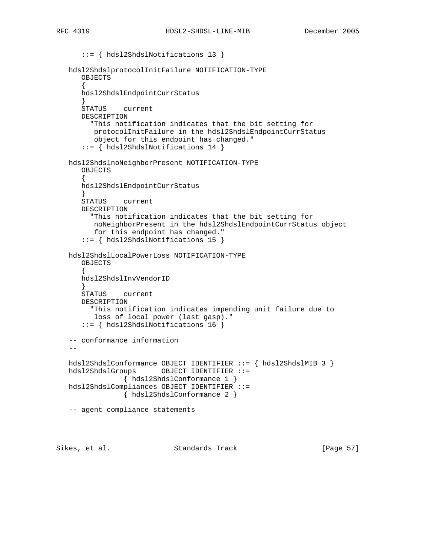```
 ::= { hdsl2ShdslNotifications 13 }
   hdsl2ShdslprotocolInitFailure NOTIFICATION-TYPE
      OBJECTS
\{ hdsl2ShdslEndpointCurrStatus
      }
      STATUS current
      DESCRIPTION
        "This notification indicates that the bit setting for
         protocolInitFailure in the hdsl2ShdslEndpointCurrStatus
         object for this endpoint has changed."
       ::= { hdsl2ShdslNotifications 14 }
   hdsl2ShdslnoNeighborPresent NOTIFICATION-TYPE
      OBJECTS
\{ hdsl2ShdslEndpointCurrStatus
 }
      STATUS current
      DESCRIPTION
        "This notification indicates that the bit setting for
        noNeighborPresent in the hdsl2ShdslEndpointCurrStatus object
         for this endpoint has changed."
       ::= { hdsl2ShdslNotifications 15 }
   hdsl2ShdslLocalPowerLoss NOTIFICATION-TYPE
      OBJECTS
\{ hdsl2ShdslInvVendorID
      }
      STATUS current
      DESCRIPTION
        "This notification indicates impending unit failure due to
        loss of local power (last gasp)."
      ::= { hdsl2ShdslNotifications 16 }
    -- conformance information
- hdsl2ShdslConformance OBJECT IDENTIFIER ::= { hdsl2ShdslMIB 3 }
   hdsl2ShdslGroups OBJECT IDENTIFIER ::=
                { hdsl2ShdslConformance 1 }
   hdsl2ShdslCompliances OBJECT IDENTIFIER ::=
                { hdsl2ShdslConformance 2 }
   -- agent compliance statements
Sikes, et al. Standards Track [Page 57]
```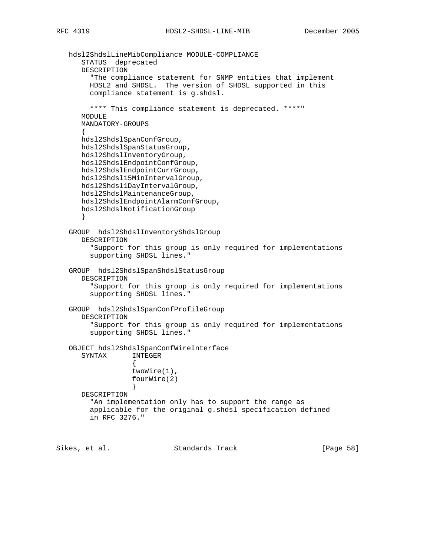```
 hdsl2ShdslLineMibCompliance MODULE-COMPLIANCE
      STATUS deprecated
      DESCRIPTION
         "The compliance statement for SNMP entities that implement
        HDSL2 and SHDSL. The version of SHDSL supported in this
        compliance statement is g.shdsl.
        **** This compliance statement is deprecated. ****"
      MODULE
      MANDATORY-GROUPS
\{ hdsl2ShdslSpanConfGroup,
      hdsl2ShdslSpanStatusGroup,
      hdsl2ShdslInventoryGroup,
      hdsl2ShdslEndpointConfGroup,
      hdsl2ShdslEndpointCurrGroup,
      hdsl2Shdsl15MinIntervalGroup,
      hdsl2Shdsl1DayIntervalGroup,
      hdsl2ShdslMaintenanceGroup,
      hdsl2ShdslEndpointAlarmConfGroup,
      hdsl2ShdslNotificationGroup
      }
   GROUP hdsl2ShdslInventoryShdslGroup
      DESCRIPTION
         "Support for this group is only required for implementations
        supporting SHDSL lines."
   GROUP hdsl2ShdslSpanShdslStatusGroup
      DESCRIPTION
        "Support for this group is only required for implementations
        supporting SHDSL lines."
   GROUP hdsl2ShdslSpanConfProfileGroup
      DESCRIPTION
         "Support for this group is only required for implementations
         supporting SHDSL lines."
   OBJECT hdsl2ShdslSpanConfWireInterface
      SYNTAX INTEGER
\{ twoWire(1),
                  fourWire(2)
 }
      DESCRIPTION
         "An implementation only has to support the range as
        applicable for the original g.shdsl specification defined
        in RFC 3276."
```
Sikes, et al. Standards Track [Page 58]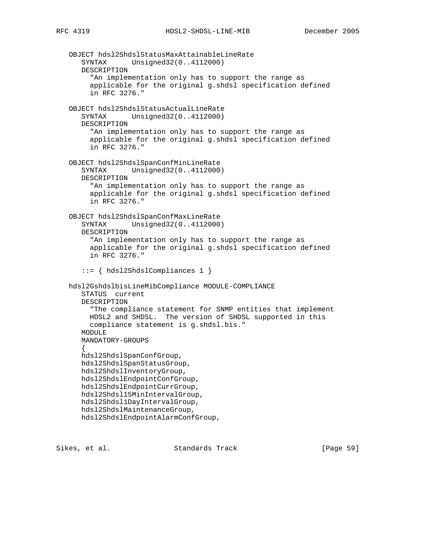OBJECT hdsl2ShdslStatusMaxAttainableLineRate SYNTAX Unsigned32(0..4112000) DESCRIPTION "An implementation only has to support the range as applicable for the original g.shdsl specification defined in RFC 3276." OBJECT hdsl2ShdslStatusActualLineRate SYNTAX Unsigned32(0..4112000) DESCRIPTION "An implementation only has to support the range as applicable for the original g.shdsl specification defined in RFC 3276." OBJECT hdsl2ShdslSpanConfMinLineRate SYNTAX Unsigned32(0..4112000) DESCRIPTION "An implementation only has to support the range as applicable for the original g.shdsl specification defined in RFC 3276." OBJECT hdsl2ShdslSpanConfMaxLineRate SYNTAX Unsigned32(0..4112000) DESCRIPTION "An implementation only has to support the range as applicable for the original g.shdsl specification defined in RFC 3276." ::= { hdsl2ShdslCompliances 1 } hdsl2GshdslbisLineMibCompliance MODULE-COMPLIANCE STATUS current DESCRIPTION "The compliance statement for SNMP entities that implement HDSL2 and SHDSL. The version of SHDSL supported in this compliance statement is g.shdsl.bis." MODULE MANDATORY-GROUPS  $\{$  hdsl2ShdslSpanConfGroup, hdsl2ShdslSpanStatusGroup, hdsl2ShdslInventoryGroup, hdsl2ShdslEndpointConfGroup, hdsl2ShdslEndpointCurrGroup, hdsl2Shdsl15MinIntervalGroup, hdsl2Shdsl1DayIntervalGroup, hdsl2ShdslMaintenanceGroup, hdsl2ShdslEndpointAlarmConfGroup,

Sikes, et al. Standards Track [Page 59]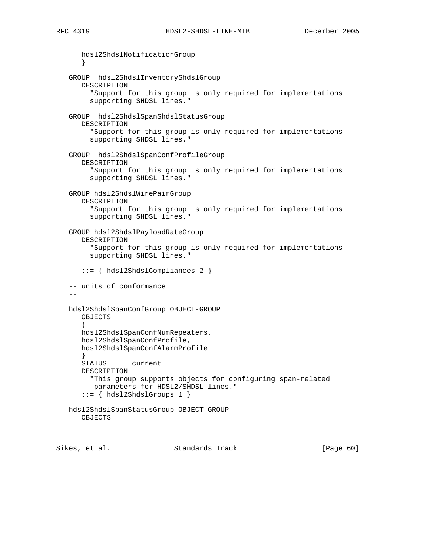```
 hdsl2ShdslNotificationGroup
      }
   GROUP hdsl2ShdslInventoryShdslGroup
      DESCRIPTION
         "Support for this group is only required for implementations
        supporting SHDSL lines."
   GROUP hdsl2ShdslSpanShdslStatusGroup
      DESCRIPTION
         "Support for this group is only required for implementations
         supporting SHDSL lines."
   GROUP hdsl2ShdslSpanConfProfileGroup
      DESCRIPTION
         "Support for this group is only required for implementations
        supporting SHDSL lines."
   GROUP hdsl2ShdslWirePairGroup
      DESCRIPTION
         "Support for this group is only required for implementations
        supporting SHDSL lines."
   GROUP hdsl2ShdslPayloadRateGroup
      DESCRIPTION
        "Support for this group is only required for implementations
        supporting SHDSL lines."
       ::= { hdsl2ShdslCompliances 2 }
   -- units of conformance
 --
   hdsl2ShdslSpanConfGroup OBJECT-GROUP
      OBJECTS
\{ hdsl2ShdslSpanConfNumRepeaters,
      hdsl2ShdslSpanConfProfile,
      hdsl2ShdslSpanConfAlarmProfile
 }
      STATUS current
      DESCRIPTION
        "This group supports objects for configuring span-related
         parameters for HDSL2/SHDSL lines."
      ::= { hdsl2ShdslGroups 1 }
   hdsl2ShdslSpanStatusGroup OBJECT-GROUP
      OBJECTS
```
Sikes, et al. Standards Track [Page 60]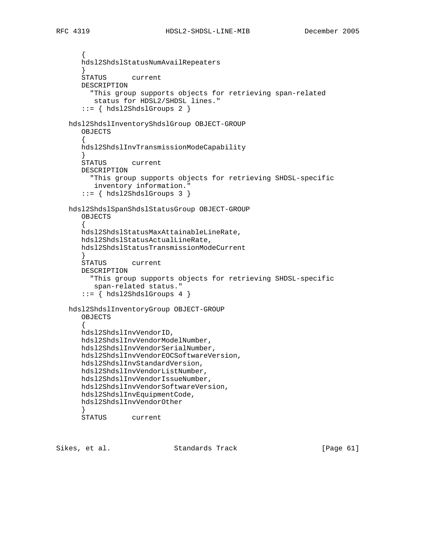```
\{ hdsl2ShdslStatusNumAvailRepeaters
      }
      STATUS current
      DESCRIPTION
        "This group supports objects for retrieving span-related
         status for HDSL2/SHDSL lines."
     ::= \{ hds12Shds1Groups 2 \} hdsl2ShdslInventoryShdslGroup OBJECT-GROUP
      OBJECTS
\{ hdsl2ShdslInvTransmissionModeCapability
 }
      STATUS current
      DESCRIPTION
        "This group supports objects for retrieving SHDSL-specific
         inventory information."
      ::= { hdsl2ShdslGroups 3 }
   hdsl2ShdslSpanShdslStatusGroup OBJECT-GROUP
      OBJECTS
\{ hdsl2ShdslStatusMaxAttainableLineRate,
      hdsl2ShdslStatusActualLineRate,
      hdsl2ShdslStatusTransmissionModeCurrent
 }
      STATUS current
      DESCRIPTION
        "This group supports objects for retrieving SHDSL-specific
         span-related status."
     ::= \{ hds12Shds1Groups 4 \} hdsl2ShdslInventoryGroup OBJECT-GROUP
      OBJECTS
\{ hdsl2ShdslInvVendorID,
      hdsl2ShdslInvVendorModelNumber,
      hdsl2ShdslInvVendorSerialNumber,
      hdsl2ShdslInvVendorEOCSoftwareVersion,
      hdsl2ShdslInvStandardVersion,
      hdsl2ShdslInvVendorListNumber,
      hdsl2ShdslInvVendorIssueNumber,
      hdsl2ShdslInvVendorSoftwareVersion,
      hdsl2ShdslInvEquipmentCode,
      hdsl2ShdslInvVendorOther
 }
      STATUS current
```
Sikes, et al. Standards Track [Page 61]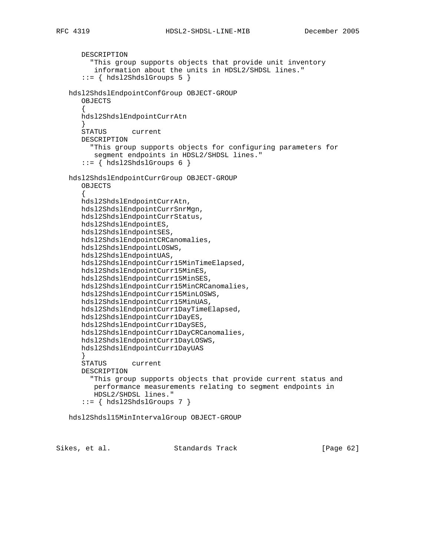```
 DESCRIPTION
         "This group supports objects that provide unit inventory
         information about the units in HDSL2/SHDSL lines."
       ::= { hdsl2ShdslGroups 5 }
   hdsl2ShdslEndpointConfGroup OBJECT-GROUP
       OBJECTS
       {
      hdsl2ShdslEndpointCurrAtn
       }
      STATUS current
      DESCRIPTION
         "This group supports objects for configuring parameters for
         segment endpoints in HDSL2/SHDSL lines."
      ::= { hdsl2ShdslGroups 6 }
   hdsl2ShdslEndpointCurrGroup OBJECT-GROUP
      OBJECTS
\{ hdsl2ShdslEndpointCurrAtn,
      hdsl2ShdslEndpointCurrSnrMgn,
      hdsl2ShdslEndpointCurrStatus,
      hdsl2ShdslEndpointES,
      hdsl2ShdslEndpointSES,
      hdsl2ShdslEndpointCRCanomalies,
      hdsl2ShdslEndpointLOSWS,
      hdsl2ShdslEndpointUAS,
      hdsl2ShdslEndpointCurr15MinTimeElapsed,
      hdsl2ShdslEndpointCurr15MinES,
      hdsl2ShdslEndpointCurr15MinSES,
      hdsl2ShdslEndpointCurr15MinCRCanomalies,
      hdsl2ShdslEndpointCurr15MinLOSWS,
      hdsl2ShdslEndpointCurr15MinUAS,
      hdsl2ShdslEndpointCurr1DayTimeElapsed,
      hdsl2ShdslEndpointCurr1DayES,
      hdsl2ShdslEndpointCurr1DaySES,
      hdsl2ShdslEndpointCurr1DayCRCanomalies,
      hdsl2ShdslEndpointCurr1DayLOSWS,
      hdsl2ShdslEndpointCurr1DayUAS
 }
      STATUS current
      DESCRIPTION
        "This group supports objects that provide current status and
         performance measurements relating to segment endpoints in
         HDSL2/SHDSL lines."
       ::= { hdsl2ShdslGroups 7 }
   hdsl2Shdsl15MinIntervalGroup OBJECT-GROUP
```
Sikes, et al. Standards Track [Page 62]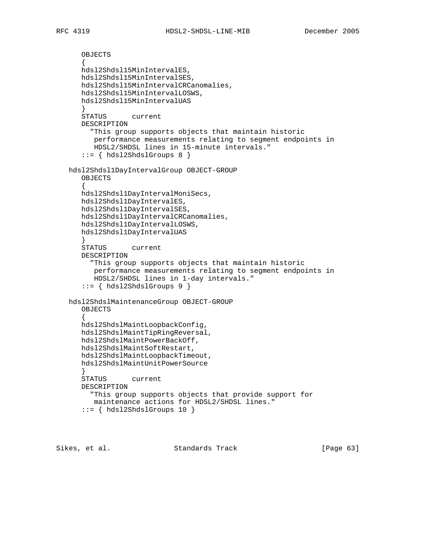```
 OBJECTS
       {
      hdsl2Shdsl15MinIntervalES,
      hdsl2Shdsl15MinIntervalSES,
      hdsl2Shdsl15MinIntervalCRCanomalies,
      hdsl2Shdsl15MinIntervalLOSWS,
      hdsl2Shdsl15MinIntervalUAS
      }
      STATUS current
      DESCRIPTION
        "This group supports objects that maintain historic
         performance measurements relating to segment endpoints in
         HDSL2/SHDSL lines in 15-minute intervals."
      ::= { hdsl2ShdslGroups 8 }
   hdsl2Shdsl1DayIntervalGroup OBJECT-GROUP
      OBJECTS
\{ hdsl2Shdsl1DayIntervalMoniSecs,
      hdsl2Shdsl1DayIntervalES,
      hdsl2Shdsl1DayIntervalSES,
      hdsl2Shdsl1DayIntervalCRCanomalies,
      hdsl2Shdsl1DayIntervalLOSWS,
      hdsl2Shdsl1DayIntervalUAS
      }
      STATUS current
      DESCRIPTION
         "This group supports objects that maintain historic
         performance measurements relating to segment endpoints in
         HDSL2/SHDSL lines in 1-day intervals."
       ::= { hdsl2ShdslGroups 9 }
   hdsl2ShdslMaintenanceGroup OBJECT-GROUP
      OBJECTS
\{ hdsl2ShdslMaintLoopbackConfig,
      hdsl2ShdslMaintTipRingReversal,
      hdsl2ShdslMaintPowerBackOff,
      hdsl2ShdslMaintSoftRestart,
      hdsl2ShdslMaintLoopbackTimeout,
      hdsl2ShdslMaintUnitPowerSource
 }
      STATUS current
      DESCRIPTION
        "This group supports objects that provide support for
         maintenance actions for HDSL2/SHDSL lines."
     ::= { hdsl2ShdslGroups 10 }
```
Sikes, et al. Standards Track [Page 63]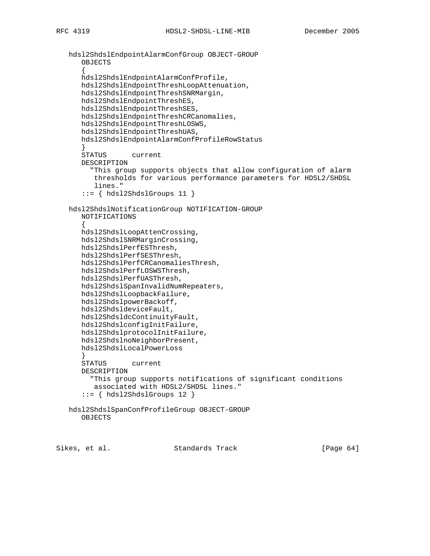```
 hdsl2ShdslEndpointAlarmConfGroup OBJECT-GROUP
      OBJECTS
       {
      hdsl2ShdslEndpointAlarmConfProfile,
      hdsl2ShdslEndpointThreshLoopAttenuation,
      hdsl2ShdslEndpointThreshSNRMargin,
      hdsl2ShdslEndpointThreshES,
      hdsl2ShdslEndpointThreshSES,
      hdsl2ShdslEndpointThreshCRCanomalies,
      hdsl2ShdslEndpointThreshLOSWS,
      hdsl2ShdslEndpointThreshUAS,
      hdsl2ShdslEndpointAlarmConfProfileRowStatus
 }
      STATUS current
      DESCRIPTION
         "This group supports objects that allow configuration of alarm
         thresholds for various performance parameters for HDSL2/SHDSL
         lines."
       ::= { hdsl2ShdslGroups 11 }
   hdsl2ShdslNotificationGroup NOTIFICATION-GROUP
      NOTIFICATIONS
\{ hdsl2ShdslLoopAttenCrossing,
      hdsl2ShdslSNRMarginCrossing,
      hdsl2ShdslPerfESThresh,
      hdsl2ShdslPerfSESThresh,
      hdsl2ShdslPerfCRCanomaliesThresh,
      hdsl2ShdslPerfLOSWSThresh,
      hdsl2ShdslPerfUASThresh,
      hdsl2ShdslSpanInvalidNumRepeaters,
      hdsl2ShdslLoopbackFailure,
      hdsl2ShdslpowerBackoff,
      hdsl2ShdsldeviceFault,
      hdsl2ShdsldcContinuityFault,
      hdsl2ShdslconfigInitFailure,
      hdsl2ShdslprotocolInitFailure,
      hdsl2ShdslnoNeighborPresent,
      hdsl2ShdslLocalPowerLoss
 }
      STATUS current
      DESCRIPTION
        "This group supports notifications of significant conditions
         associated with HDSL2/SHDSL lines."
     ::= { hdsl2ShdslGroups 12 }
   hdsl2ShdslSpanConfProfileGroup OBJECT-GROUP
      OBJECTS
```
Sikes, et al. Standards Track [Page 64]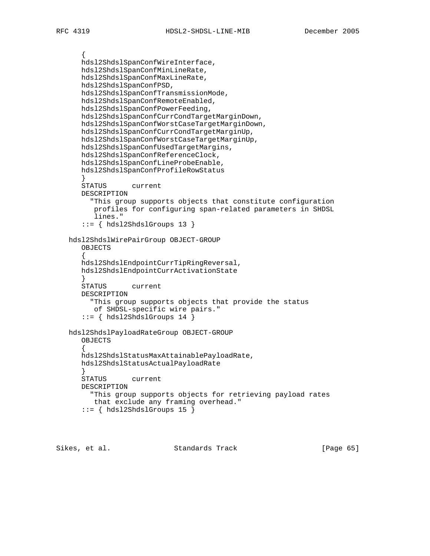```
\{ hdsl2ShdslSpanConfWireInterface,
      hdsl2ShdslSpanConfMinLineRate,
      hdsl2ShdslSpanConfMaxLineRate,
      hdsl2ShdslSpanConfPSD,
      hdsl2ShdslSpanConfTransmissionMode,
      hdsl2ShdslSpanConfRemoteEnabled,
      hdsl2ShdslSpanConfPowerFeeding,
      hdsl2ShdslSpanConfCurrCondTargetMarginDown,
      hdsl2ShdslSpanConfWorstCaseTargetMarginDown,
      hdsl2ShdslSpanConfCurrCondTargetMarginUp,
      hdsl2ShdslSpanConfWorstCaseTargetMarginUp,
      hdsl2ShdslSpanConfUsedTargetMargins,
      hdsl2ShdslSpanConfReferenceClock,
      hdsl2ShdslSpanConfLineProbeEnable,
      hdsl2ShdslSpanConfProfileRowStatus
 }
      STATUS current
      DESCRIPTION
        "This group supports objects that constitute configuration
         profiles for configuring span-related parameters in SHDSL
         lines."
       ::= { hdsl2ShdslGroups 13 }
   hdsl2ShdslWirePairGroup OBJECT-GROUP
      OBJECTS
      {
      hdsl2ShdslEndpointCurrTipRingReversal,
      hdsl2ShdslEndpointCurrActivationState
      }
      STATUS current
      DESCRIPTION
        "This group supports objects that provide the status
         of SHDSL-specific wire pairs."
      ::= { hdsl2ShdslGroups 14 }
   hdsl2ShdslPayloadRateGroup OBJECT-GROUP
      OBJECTS
\{ hdsl2ShdslStatusMaxAttainablePayloadRate,
      hdsl2ShdslStatusActualPayloadRate
 }
      STATUS current
      DESCRIPTION
        "This group supports objects for retrieving payload rates
         that exclude any framing overhead."
      ::= { hdsl2ShdslGroups 15 }
```
Sikes, et al. Standards Track [Page 65]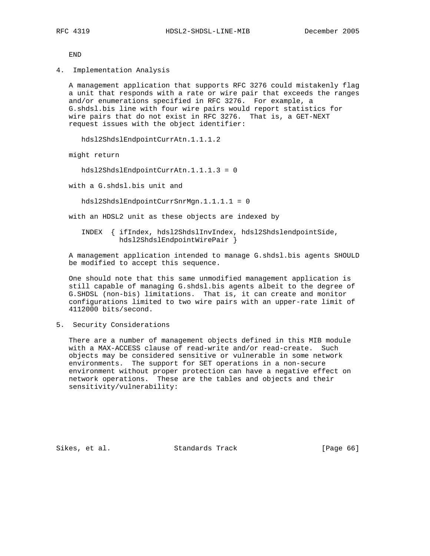END

4. Implementation Analysis

 A management application that supports RFC 3276 could mistakenly flag a unit that responds with a rate or wire pair that exceeds the ranges and/or enumerations specified in RFC 3276. For example, a G.shdsl.bis line with four wire pairs would report statistics for wire pairs that do not exist in RFC 3276. That is, a GET-NEXT request issues with the object identifier:

hdsl2ShdslEndpointCurrAtn.1.1.1.2

might return

hdsl2ShdslEndpointCurrAtn.1.1.1.3 = 0

with a G.shdsl.bis unit and

hdsl2ShdslEndpointCurrSnrMgn.1.1.1.1 = 0

with an HDSL2 unit as these objects are indexed by

 INDEX { ifIndex, hdsl2ShdslInvIndex, hdsl2ShdslendpointSide, hdsl2ShdslEndpointWirePair }

 A management application intended to manage G.shdsl.bis agents SHOULD be modified to accept this sequence.

 One should note that this same unmodified management application is still capable of managing G.shdsl.bis agents albeit to the degree of G.SHDSL (non-bis) limitations. That is, it can create and monitor configurations limited to two wire pairs with an upper-rate limit of 4112000 bits/second.

5. Security Considerations

 There are a number of management objects defined in this MIB module with a MAX-ACCESS clause of read-write and/or read-create. Such objects may be considered sensitive or vulnerable in some network environments. The support for SET operations in a non-secure environment without proper protection can have a negative effect on network operations. These are the tables and objects and their sensitivity/vulnerability:

Sikes, et al. Standards Track [Page 66]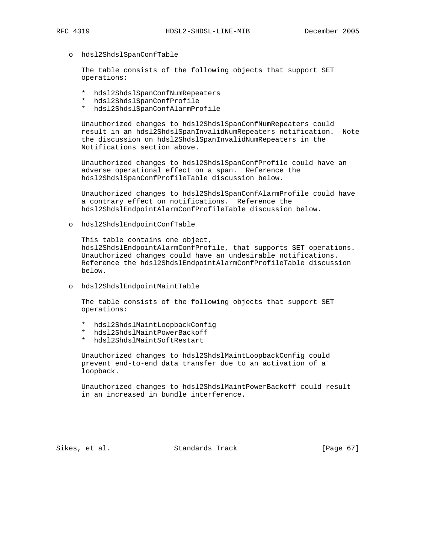- - o hdsl2ShdslSpanConfTable

 The table consists of the following objects that support SET operations:

- \* hdsl2ShdslSpanConfNumRepeaters
- \* hdsl2ShdslSpanConfProfile
- \* hdsl2ShdslSpanConfAlarmProfile

 Unauthorized changes to hdsl2ShdslSpanConfNumRepeaters could result in an hdsl2ShdslSpanInvalidNumRepeaters notification. Note the discussion on hdsl2ShdslSpanInvalidNumRepeaters in the Notifications section above.

 Unauthorized changes to hdsl2ShdslSpanConfProfile could have an adverse operational effect on a span. Reference the hdsl2ShdslSpanConfProfileTable discussion below.

 Unauthorized changes to hdsl2ShdslSpanConfAlarmProfile could have a contrary effect on notifications. Reference the hdsl2ShdslEndpointAlarmConfProfileTable discussion below.

o hdsl2ShdslEndpointConfTable

 This table contains one object, hdsl2ShdslEndpointAlarmConfProfile, that supports SET operations. Unauthorized changes could have an undesirable notifications. Reference the hdsl2ShdslEndpointAlarmConfProfileTable discussion below.

o hdsl2ShdslEndpointMaintTable

 The table consists of the following objects that support SET operations:

- \* hdsl2ShdslMaintLoopbackConfig
- \* hdsl2ShdslMaintPowerBackoff
- \* hdsl2ShdslMaintSoftRestart

 Unauthorized changes to hdsl2ShdslMaintLoopbackConfig could prevent end-to-end data transfer due to an activation of a loopback.

 Unauthorized changes to hdsl2ShdslMaintPowerBackoff could result in an increased in bundle interference.

Sikes, et al. Standards Track [Page 67]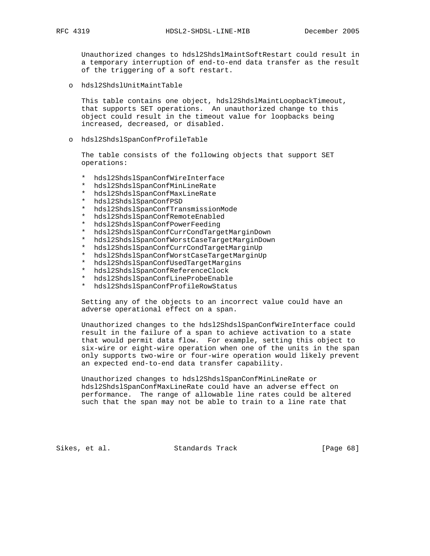Unauthorized changes to hdsl2ShdslMaintSoftRestart could result in a temporary interruption of end-to-end data transfer as the result of the triggering of a soft restart.

o hdsl2ShdslUnitMaintTable

 This table contains one object, hdsl2ShdslMaintLoopbackTimeout, that supports SET operations. An unauthorized change to this object could result in the timeout value for loopbacks being increased, decreased, or disabled.

o hdsl2ShdslSpanConfProfileTable

 The table consists of the following objects that support SET operations:

- \* hdsl2ShdslSpanConfWireInterface
- \* hdsl2ShdslSpanConfMinLineRate
- \* hdsl2ShdslSpanConfMaxLineRate
- \* hdsl2ShdslSpanConfPSD
- \* hdsl2ShdslSpanConfTransmissionMode
- \* hdsl2ShdslSpanConfRemoteEnabled
- \* hdsl2ShdslSpanConfPowerFeeding
- \* hdsl2ShdslSpanConfCurrCondTargetMarginDown
- \* hdsl2ShdslSpanConfWorstCaseTargetMarginDown
- \* hdsl2ShdslSpanConfCurrCondTargetMarginUp
- \* hdsl2ShdslSpanConfWorstCaseTargetMarginUp
- hdsl2ShdslSpanConfUsedTargetMargins
- hdsl2ShdslSpanConfReferenceClock
- hdsl2ShdslSpanConfLineProbeEnable
- \* hdsl2ShdslSpanConfProfileRowStatus

 Setting any of the objects to an incorrect value could have an adverse operational effect on a span.

 Unauthorized changes to the hdsl2ShdslSpanConfWireInterface could result in the failure of a span to achieve activation to a state that would permit data flow. For example, setting this object to six-wire or eight-wire operation when one of the units in the span only supports two-wire or four-wire operation would likely prevent an expected end-to-end data transfer capability.

 Unauthorized changes to hdsl2ShdslSpanConfMinLineRate or hdsl2ShdslSpanConfMaxLineRate could have an adverse effect on performance. The range of allowable line rates could be altered such that the span may not be able to train to a line rate that

Sikes, et al. Standards Track [Page 68]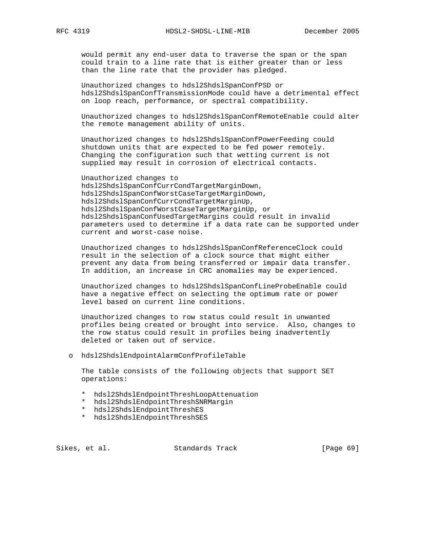would permit any end-user data to traverse the span or the span could train to a line rate that is either greater than or less than the line rate that the provider has pledged.

 Unauthorized changes to hdsl2ShdslSpanConfPSD or hdsl2ShdslSpanConfTransmissionMode could have a detrimental effect on loop reach, performance, or spectral compatibility.

 Unauthorized changes to hdsl2ShdslSpanConfRemoteEnable could alter the remote management ability of units.

 Unauthorized changes to hdsl2ShdslSpanConfPowerFeeding could shutdown units that are expected to be fed power remotely. Changing the configuration such that wetting current is not supplied may result in corrosion of electrical contacts.

 Unauthorized changes to hdsl2ShdslSpanConfCurrCondTargetMarginDown, hdsl2ShdslSpanConfWorstCaseTargetMarginDown, hdsl2ShdslSpanConfCurrCondTargetMarginUp, hdsl2ShdslSpanConfWorstCaseTargetMarginUp, or hdsl2ShdslSpanConfUsedTargetMargins could result in invalid parameters used to determine if a data rate can be supported under current and worst-case noise.

 Unauthorized changes to hdsl2ShdslSpanConfReferenceClock could result in the selection of a clock source that might either prevent any data from being transferred or impair data transfer. In addition, an increase in CRC anomalies may be experienced.

 Unauthorized changes to hdsl2ShdslSpanConfLineProbeEnable could have a negative effect on selecting the optimum rate or power level based on current line conditions.

 Unauthorized changes to row status could result in unwanted profiles being created or brought into service. Also, changes to the row status could result in profiles being inadvertently deleted or taken out of service.

o hdsl2ShdslEndpointAlarmConfProfileTable

 The table consists of the following objects that support SET operations:

- \* hdsl2ShdslEndpointThreshLoopAttenuation
- \* hdsl2ShdslEndpointThreshSNRMargin
- \* hdsl2ShdslEndpointThreshES
- \* hdsl2ShdslEndpointThreshSES

Sikes, et al. Standards Track [Page 69]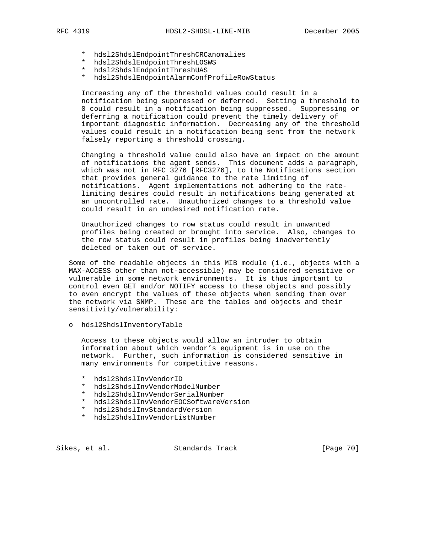- \* hdsl2ShdslEndpointThreshCRCanomalies
- \* hdsl2ShdslEndpointThreshLOSWS
- \* hdsl2ShdslEndpointThreshUAS
- \* hdsl2ShdslEndpointAlarmConfProfileRowStatus

 Increasing any of the threshold values could result in a notification being suppressed or deferred. Setting a threshold to 0 could result in a notification being suppressed. Suppressing or deferring a notification could prevent the timely delivery of important diagnostic information. Decreasing any of the threshold values could result in a notification being sent from the network falsely reporting a threshold crossing.

 Changing a threshold value could also have an impact on the amount of notifications the agent sends. This document adds a paragraph, which was not in RFC 3276 [RFC3276], to the Notifications section that provides general guidance to the rate limiting of notifications. Agent implementations not adhering to the rate limiting desires could result in notifications being generated at an uncontrolled rate. Unauthorized changes to a threshold value could result in an undesired notification rate.

 Unauthorized changes to row status could result in unwanted profiles being created or brought into service. Also, changes to the row status could result in profiles being inadvertently deleted or taken out of service.

 Some of the readable objects in this MIB module (i.e., objects with a MAX-ACCESS other than not-accessible) may be considered sensitive or vulnerable in some network environments. It is thus important to control even GET and/or NOTIFY access to these objects and possibly to even encrypt the values of these objects when sending them over the network via SNMP. These are the tables and objects and their sensitivity/vulnerability:

o hdsl2ShdslInventoryTable

 Access to these objects would allow an intruder to obtain information about which vendor's equipment is in use on the network. Further, such information is considered sensitive in many environments for competitive reasons.

- \* hdsl2ShdslInvVendorID
- \* hdsl2ShdslInvVendorModelNumber
- \* hdsl2ShdslInvVendorSerialNumber
- \* hdsl2ShdslInvVendorEOCSoftwareVersion
- \* hdsl2ShdslInvStandardVersion
- \* hdsl2ShdslInvVendorListNumber

Sikes, et al. Standards Track [Page 70]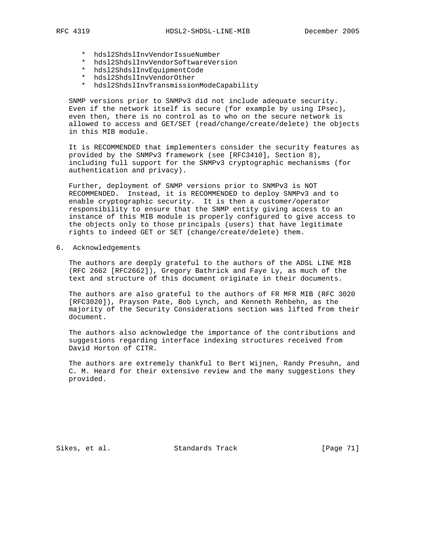- - \* hdsl2ShdslInvVendorIssueNumber
	- \* hdsl2ShdslInvVendorSoftwareVersion
	- \* hdsl2ShdslInvEquipmentCode
	- \* hdsl2ShdslInvVendorOther
	- \* hdsl2ShdslInvTransmissionModeCapability

 SNMP versions prior to SNMPv3 did not include adequate security. Even if the network itself is secure (for example by using IPsec), even then, there is no control as to who on the secure network is allowed to access and GET/SET (read/change/create/delete) the objects in this MIB module.

 It is RECOMMENDED that implementers consider the security features as provided by the SNMPv3 framework (see [RFC3410], Section 8), including full support for the SNMPv3 cryptographic mechanisms (for authentication and privacy).

 Further, deployment of SNMP versions prior to SNMPv3 is NOT RECOMMENDED. Instead, it is RECOMMENDED to deploy SNMPv3 and to enable cryptographic security. It is then a customer/operator responsibility to ensure that the SNMP entity giving access to an instance of this MIB module is properly configured to give access to the objects only to those principals (users) that have legitimate rights to indeed GET or SET (change/create/delete) them.

6. Acknowledgements

 The authors are deeply grateful to the authors of the ADSL LINE MIB (RFC 2662 [RFC2662]), Gregory Bathrick and Faye Ly, as much of the text and structure of this document originate in their documents.

 The authors are also grateful to the authors of FR MFR MIB (RFC 3020 [RFC3020]), Prayson Pate, Bob Lynch, and Kenneth Rehbehn, as the majority of the Security Considerations section was lifted from their document.

 The authors also acknowledge the importance of the contributions and suggestions regarding interface indexing structures received from David Horton of CITR.

 The authors are extremely thankful to Bert Wijnen, Randy Presuhn, and C. M. Heard for their extensive review and the many suggestions they provided.

Sikes, et al. Standards Track [Page 71]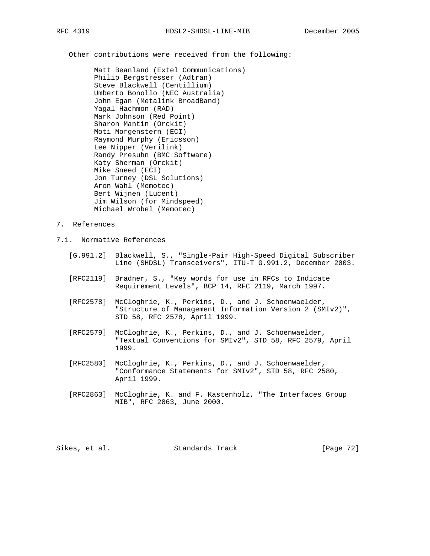Other contributions were received from the following:

 Matt Beanland (Extel Communications) Philip Bergstresser (Adtran) Steve Blackwell (Centillium) Umberto Bonollo (NEC Australia) John Egan (Metalink BroadBand) Yagal Hachmon (RAD) Mark Johnson (Red Point) Sharon Mantin (Orckit) Moti Morgenstern (ECI) Raymond Murphy (Ericsson) Lee Nipper (Verilink) Randy Presuhn (BMC Software) Katy Sherman (Orckit) Mike Sneed (ECI) Jon Turney (DSL Solutions) Aron Wahl (Memotec) Bert Wijnen (Lucent) Jim Wilson (for Mindspeed) Michael Wrobel (Memotec)

- 7. References
- 7.1. Normative References
	- [G.991.2] Blackwell, S., "Single-Pair High-Speed Digital Subscriber Line (SHDSL) Transceivers", ITU-T G.991.2, December 2003.
	- [RFC2119] Bradner, S., "Key words for use in RFCs to Indicate Requirement Levels", BCP 14, RFC 2119, March 1997.
	- [RFC2578] McCloghrie, K., Perkins, D., and J. Schoenwaelder, "Structure of Management Information Version 2 (SMIv2)", STD 58, RFC 2578, April 1999.
	- [RFC2579] McCloghrie, K., Perkins, D., and J. Schoenwaelder, "Textual Conventions for SMIv2", STD 58, RFC 2579, April 1999.
	- [RFC2580] McCloghrie, K., Perkins, D., and J. Schoenwaelder, "Conformance Statements for SMIv2", STD 58, RFC 2580, April 1999.
	- [RFC2863] McCloghrie, K. and F. Kastenholz, "The Interfaces Group MIB", RFC 2863, June 2000.

Sikes, et al. Standards Track [Page 72]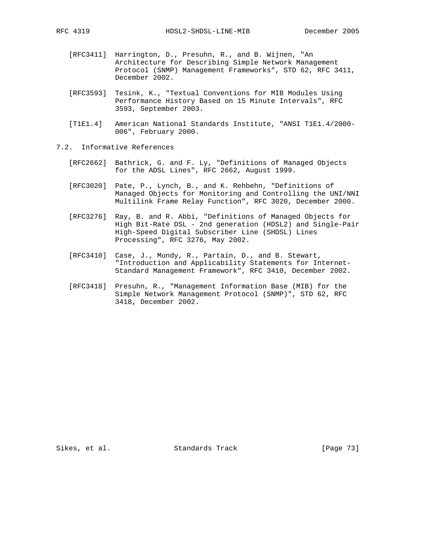- [RFC3411] Harrington, D., Presuhn, R., and B. Wijnen, "An Architecture for Describing Simple Network Management Protocol (SNMP) Management Frameworks", STD 62, RFC 3411, December 2002.
- [RFC3593] Tesink, K., "Textual Conventions for MIB Modules Using Performance History Based on 15 Minute Intervals", RFC 3593, September 2003.
- [T1E1.4] American National Standards Institute, "ANSI T1E1.4/2000- 006", February 2000.
- 7.2. Informative References
	- [RFC2662] Bathrick, G. and F. Ly, "Definitions of Managed Objects for the ADSL Lines", RFC 2662, August 1999.
	- [RFC3020] Pate, P., Lynch, B., and K. Rehbehn, "Definitions of Managed Objects for Monitoring and Controlling the UNI/NNI Multilink Frame Relay Function", RFC 3020, December 2000.
	- [RFC3276] Ray, B. and R. Abbi, "Definitions of Managed Objects for High Bit-Rate DSL - 2nd generation (HDSL2) and Single-Pair High-Speed Digital Subscriber Line (SHDSL) Lines Processing", RFC 3276, May 2002.
	- [RFC3410] Case, J., Mundy, R., Partain, D., and B. Stewart, "Introduction and Applicability Statements for Internet- Standard Management Framework", RFC 3410, December 2002.
	- [RFC3418] Presuhn, R., "Management Information Base (MIB) for the Simple Network Management Protocol (SNMP)", STD 62, RFC 3418, December 2002.

Sikes, et al. Standards Track [Page 73]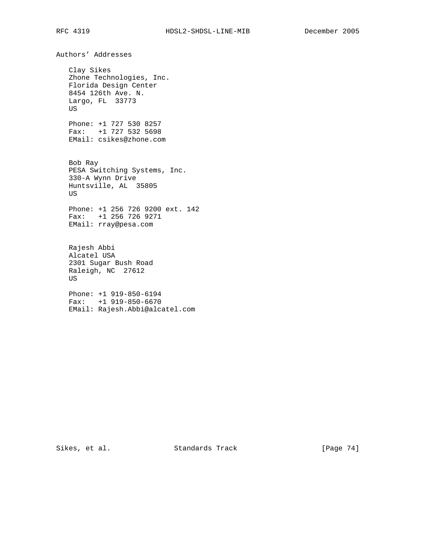Authors' Addresses Clay Sikes Zhone Technologies, Inc. Florida Design Center 8454 126th Ave. N. Largo, FL 33773 US Phone: +1 727 530 8257 Fax: +1 727 532 5698 EMail: csikes@zhone.com Bob Ray PESA Switching Systems, Inc. 330-A Wynn Drive Huntsville, AL 35805 US Phone: +1 256 726 9200 ext. 142 Fax: +1 256 726 9271 EMail: rray@pesa.com Rajesh Abbi Alcatel USA 2301 Sugar Bush Road Raleigh, NC 27612 US Phone: +1 919-850-6194 Fax: +1 919-850-6670 EMail: Rajesh.Abbi@alcatel.com

Sikes, et al. Standards Track [Page 74]